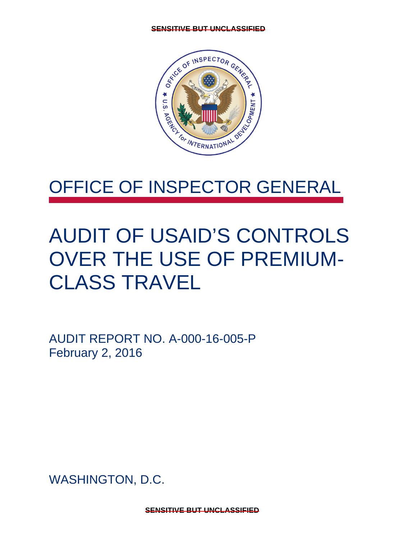

## OFFICE OF INSPECTOR GENERAL

## AUDIT OF USAID'S CONTROLS OVER THE USE OF PREMIUM-CLASS TRAVEL

AUDIT REPORT NO. A-000-16-005-P February 2, 2016

WASHINGTON, D.C.

**SENSITIVE BUT UNCLASSIFIED**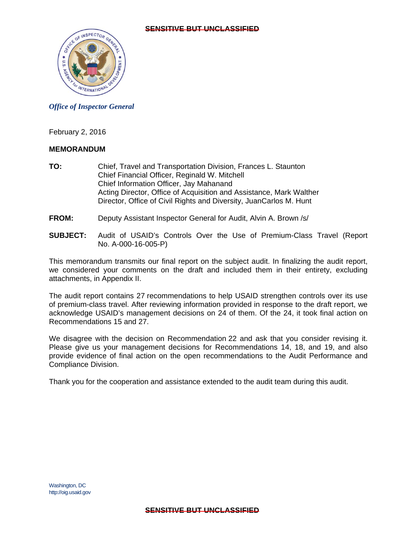

#### *Office of Inspector General*

February 2, 2016

#### **MEMORANDUM**

- **TO:** Chief, Travel and Transportation Division, Frances L. Staunton Chief Financial Officer, Reginald W. Mitchell Chief Information Officer, Jay Mahanand Acting Director, Office of Acquisition and Assistance, Mark Walther Director, Office of Civil Rights and Diversity, JuanCarlos M. Hunt
- **FROM:** Deputy Assistant Inspector General for Audit, Alvin A. Brown /s/
- **SUBJECT:** Audit of USAID's Controls Over the Use of Premium-Class Travel (Report No. A-000-16-005-P)

This memorandum transmits our final report on the subject audit. In finalizing the audit report, we considered your comments on the draft and included them in their entirety, excluding attachments, in Appendix II.

The audit report contains 27 recommendations to help USAID strengthen controls over its use of premium-class travel. After reviewing information provided in response to the draft report, we acknowledge USAID's management decisions on 24 of them. Of the 24, it took final action on Recommendations 15 and 27.

We disagree with the decision on Recommendation 22 and ask that you consider revising it. Please give us your management decisions for Recommendations 14, 18, and 19, and also provide evidence of final action on the open recommendations to the Audit Performance and Compliance Division.

Thank you for the cooperation and assistance extended to the audit team during this audit.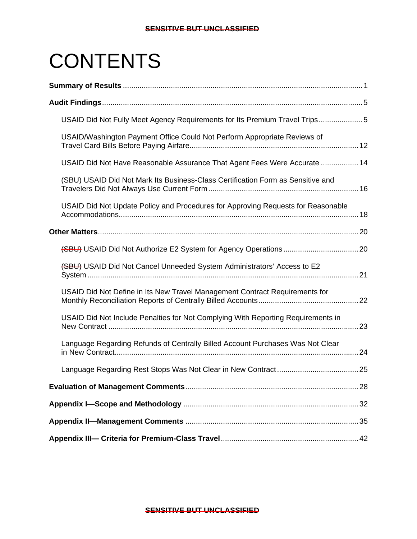# **CONTENTS**

| USAID Did Not Fully Meet Agency Requirements for Its Premium Travel Trips5       |  |
|----------------------------------------------------------------------------------|--|
| USAID/Washington Payment Office Could Not Perform Appropriate Reviews of         |  |
| USAID Did Not Have Reasonable Assurance That Agent Fees Were Accurate  14        |  |
| (SBU) USAID Did Not Mark Its Business-Class Certification Form as Sensitive and  |  |
| USAID Did Not Update Policy and Procedures for Approving Requests for Reasonable |  |
|                                                                                  |  |
|                                                                                  |  |
| (SBU) USAID Did Not Cancel Unneeded System Administrators' Access to E2          |  |
| USAID Did Not Define in Its New Travel Management Contract Requirements for      |  |
| USAID Did Not Include Penalties for Not Complying With Reporting Requirements in |  |
| Language Regarding Refunds of Centrally Billed Account Purchases Was Not Clear   |  |
|                                                                                  |  |
|                                                                                  |  |
|                                                                                  |  |
|                                                                                  |  |
|                                                                                  |  |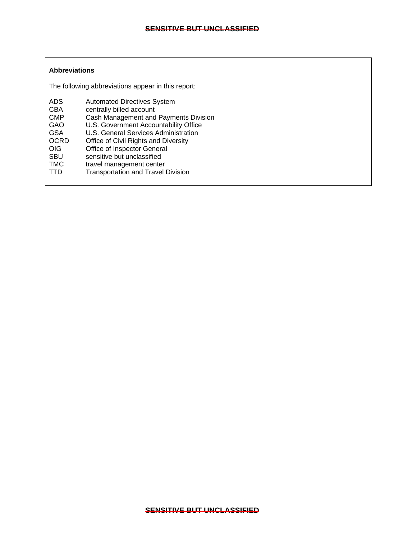#### **Abbreviations**

The following abbreviations appear in this report:

| <b>ADS</b>  | <b>Automated Directives System</b>        |
|-------------|-------------------------------------------|
| <b>CBA</b>  | centrally billed account                  |
| <b>CMP</b>  | Cash Management and Payments Division     |
| GAO         | U.S. Government Accountability Office     |
| <b>GSA</b>  | U.S. General Services Administration      |
| <b>OCRD</b> | Office of Civil Rights and Diversity      |
| OIG         | Office of Inspector General               |
| <b>SBU</b>  | sensitive but unclassified                |
| <b>TMC</b>  | travel management center                  |
| TTD         | <b>Transportation and Travel Division</b> |
|             |                                           |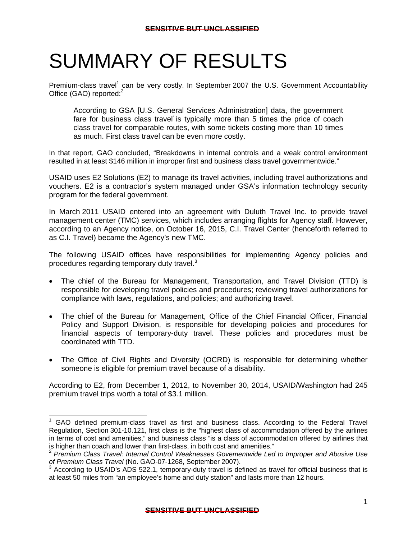## <span id="page-4-0"></span>SUMMARY OF RESULTS

Premium-class travel<sup>1</sup> can be very costly. In September 2007 the U.S. Government Accountability Office (GAO) reported:<sup>2</sup>

According to GSA [U.S. General Services Administration] data, the government fare for business class travel is typically more than 5 times the price of coach class travel for comparable routes, with some tickets costing more than 10 times as much. First class travel can be even more costly.

In that report, GAO concluded, "Breakdowns in internal controls and a weak control environment resulted in at least \$146 million in improper first and business class travel governmentwide."

USAID uses E2 Solutions (E2) to manage its travel activities, including travel authorizations and vouchers. E2 is a contractor's system managed under GSA's information technology security program for the federal government.

In March 2011 USAID entered into an agreement with Duluth Travel Inc. to provide travel management center (TMC) services, which includes arranging flights for Agency staff. However, according to an Agency notice, on October 16, 2015, C.I. Travel Center (henceforth referred to as C.I. Travel) became the Agency's new TMC.

The following USAID offices have responsibilities for implementing Agency policies and procedures regarding temporary duty travel.<sup>3</sup>

- The chief of the Bureau for Management, Transportation, and Travel Division (TTD) is responsible for developing travel policies and procedures; reviewing travel authorizations for compliance with laws, regulations, and policies; and authorizing travel.
- The chief of the Bureau for Management, Office of the Chief Financial Officer, Financial Policy and Support Division, is responsible for developing policies and procedures for financial aspects of temporary-duty travel. These policies and procedures must be coordinated with TTD.
- The Office of Civil Rights and Diversity (OCRD) is responsible for determining whether someone is eligible for premium travel because of a disability.

According to E2, from December 1, 2012, to November 30, 2014, USAID/Washington had 245 premium travel trips worth a total of \$3.1 million.

 Regulation, Section 301-10.121, first class is the "highest class of accommodation offered by the airlines <sup>1</sup> GAO defined premium-class travel as first and business class. According to the Federal Travel in terms of cost and amenities," and business class "is a class of accommodation offered by airlines that is higher than coach and lower than first-class, in both cost and amenities."

<sup>2</sup>*Premium Class Travel: Internal Control Weaknesses Govementwide Led to Improper and Abusive Use of Premium Class Travel* (No. GAO-07-1268, September 2007). 3

 $3$  According to USAID's ADS 522.1, temporary-duty travel is defined as travel for official business that is at least 50 miles from "an employee's home and duty station" and lasts more than 12 hours.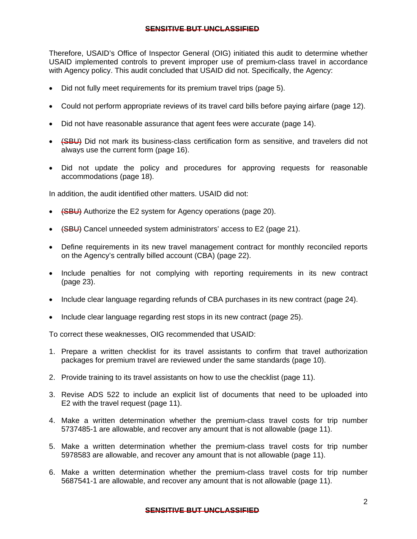Therefore, USAID's Office of Inspector General (OIG) initiated this audit to determine whether USAID implemented controls to prevent improper use of premium-class travel in accordance with Agency policy. This audit concluded that USAID did not. Specifically, the Agency:

- Did not fully meet requirements for its premium travel trips (page 5).
- Could not perform appropriate reviews of its travel card bills before paying airfare (page 12).
- Did not have reasonable assurance that agent fees were accurate (page 14).
- (SBU) Did not mark its business-class certification form as sensitive, and travelers did not always use the current form (page 16).
- Did not update the policy and procedures for approving requests for reasonable accommodations (page 18).

In addition, the audit identified other matters. USAID did not:

- (SBU) Authorize the E2 system for Agency operations (page 20).
- (SBU) Cancel unneeded system administrators' access to E2 (page 21).
- Define requirements in its new travel management contract for monthly reconciled reports on the Agency's centrally billed account (CBA) (page 22).
- Include penalties for not complying with reporting requirements in its new contract (page 23).
- Include clear language regarding refunds of CBA purchases in its new contract (page 24).
- Include clear language regarding rest stops in its new contract (page 25).

To correct these weaknesses, OIG recommended that USAID:

- 1. Prepare a written checklist for its travel assistants to confirm that travel authorization packages for premium travel are reviewed under the same standards (page 10).
- 2. Provide training to its travel assistants on how to use the checklist (page 11).
- 3. Revise ADS 522 to include an explicit list of documents that need to be uploaded into E2 with the travel request (page 11).
- 4. Make a written determination whether the premium-class travel costs for trip number 5737485-1 are allowable, and recover any amount that is not allowable (page 11).
- 5. Make a written determination whether the premium-class travel costs for trip number 5978583 are allowable, and recover any amount that is not allowable (page 11).
- 6. Make a written determination whether the premium-class travel costs for trip number 5687541-1 are allowable, and recover any amount that is not allowable (page 11).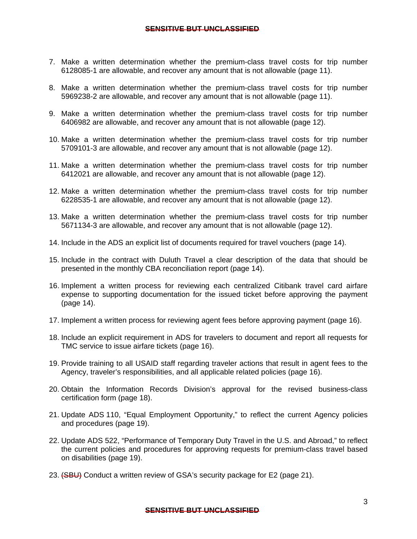- 7. Make a written determination whether the premium-class travel costs for trip number 6128085-1 are allowable, and recover any amount that is not allowable (page 11).
- 8. Make a written determination whether the premium-class travel costs for trip number 5969238-2 are allowable, and recover any amount that is not allowable (page 11).
- 9. Make a written determination whether the premium-class travel costs for trip number 6406982 are allowable, and recover any amount that is not allowable (page 12).
- 10. Make a written determination whether the premium-class travel costs for trip number 5709101-3 are allowable, and recover any amount that is not allowable (page 12).
- 11. Make a written determination whether the premium-class travel costs for trip number 6412021 are allowable, and recover any amount that is not allowable (page 12).
- 12. Make a written determination whether the premium-class travel costs for trip number 6228535-1 are allowable, and recover any amount that is not allowable (page 12).
- 13. Make a written determination whether the premium-class travel costs for trip number 5671134-3 are allowable, and recover any amount that is not allowable (page 12).
- 14. Include in the ADS an explicit list of documents required for travel vouchers (page 14).
- 15. Include in the contract with Duluth Travel a clear description of the data that should be presented in the monthly CBA reconciliation report (page 14).
- 16. Implement a written process for reviewing each centralized Citibank travel card airfare expense to supporting documentation for the issued ticket before approving the payment (page 14).
- 17. Implement a written process for reviewing agent fees before approving payment (page 16).
- 18. Include an explicit requirement in ADS for travelers to document and report all requests for TMC service to issue airfare tickets (page 16).
- 19. Provide training to all USAID staff regarding traveler actions that result in agent fees to the Agency, traveler's responsibilities, and all applicable related policies (page 16).
- 20. Obtain the Information Records Division's approval for the revised business-class certification form (page 18).
- 21. Update ADS 110, "Equal Employment Opportunity," to reflect the current Agency policies and procedures (page 19).
- 22. Update ADS 522, "Performance of Temporary Duty Travel in the U.S. and Abroad," to reflect the current policies and procedures for approving requests for premium-class travel based on disabilities (page 19).
- 23. (SBU) Conduct a written review of GSA's security package for E2 (page 21).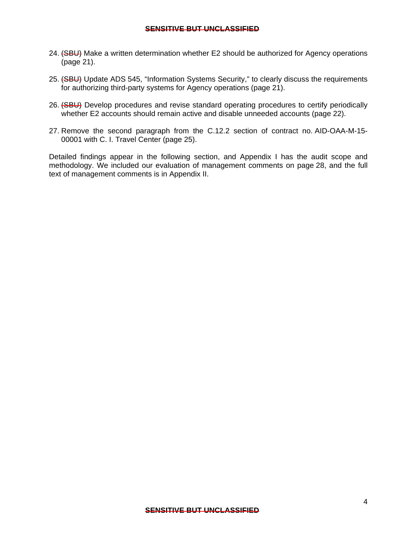- 24. (SBU) Make a written determination whether E2 should be authorized for Agency operations (page 21).
- 25. (SBU) Update ADS 545, "Information Systems Security," to clearly discuss the requirements for authorizing third-party systems for Agency operations (page 21).
- 26. (SBU) Develop procedures and revise standard operating procedures to certify periodically whether E2 accounts should remain active and disable unneeded accounts (page 22).
- 27. Remove the second paragraph from the C.12.2 section of contract no. AID-OAA-M-15- 00001 with C. I. Travel Center (page 25).

Detailed findings appear in the following section, and Appendix I has the audit scope and methodology. We included our evaluation of management comments on page 28, and the full text of management comments is in Appendix II.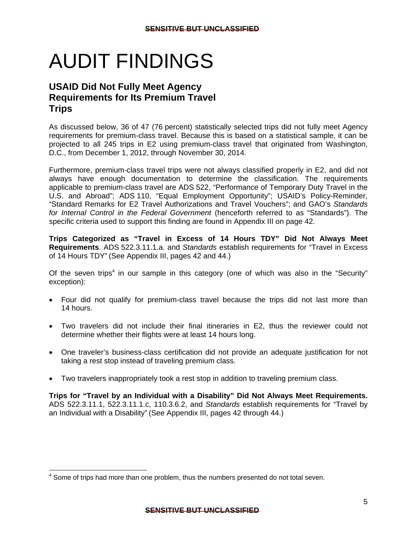# AUDIT FINDINGS

## **USAID Did Not Fully Meet Agency Requirements for Its Premium Travel Trips**

As discussed below, 36 of 47 (76 percent) statistically selected trips did not fully meet Agency requirements for premium-class travel. Because this is based on a statistical sample, it can be projected to all 245 trips in E2 using premium-class travel that originated from Washington, D.C., from December 1, 2012, through November 30, 2014.

Furthermore, premium-class travel trips were not always classified properly in E2, and did not always have enough documentation to determine the classification. The requirements applicable to premium-class travel are ADS 522, "Performance of Temporary Duty Travel in the U.S. and Abroad"; ADS 110, "Equal Employment Opportunity"; USAID's Policy-Reminder, "Standard Remarks for E2 Travel Authorizations and Travel Vouchers"; and GAO's *Standards for Internal Control in the Federal Government* (henceforth referred to as "Standards"). The specific criteria used to support this finding are found in Appendix III on page 42.

**Trips Categorized as "Travel in Excess of 14 Hours TDY" Did Not Always Meet Requirements**. ADS 522.3.11.1.a. and *Standards* establish requirements for "Travel in Excess of 14 Hours TDY" (See Appendix III, pages 42 and 44.)

Of the seven trips<sup>4</sup> in our sample in this category (one of which was also in the "Security" exception):

- Four did not qualify for premium-class travel because the trips did not last more than 14 hours.
- Two travelers did not include their final itineraries in E2, thus the reviewer could not determine whether their flights were at least 14 hours long.
- One traveler's business-class certification did not provide an adequate justification for not taking a rest stop instead of traveling premium class.
- Two travelers inappropriately took a rest stop in addition to traveling premium class.

**Trips for "Travel by an Individual with a Disability" Did Not Always Meet Requirements.**  ADS 522.3.11.1, 522.3.11.1.c, 110.3.6.2, and *Standards* establish requirements for "Travel by an Individual with a Disability" (See Appendix III, pages 42 through 44.)

<sup>-</sup> $4$  Some of trips had more than one problem, thus the numbers presented do not total seven.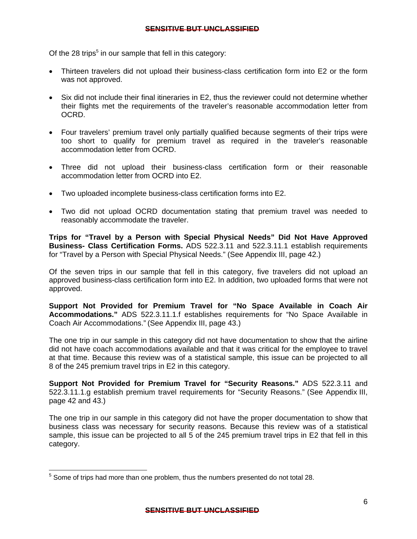Of the 28 trips $<sup>5</sup>$  in our sample that fell in this category:</sup>

- Thirteen travelers did not upload their business-class certification form into E2 or the form was not approved.
- Six did not include their final itineraries in E2, thus the reviewer could not determine whether their flights met the requirements of the traveler's reasonable accommodation letter from OCRD.
- Four travelers' premium travel only partially qualified because segments of their trips were too short to qualify for premium travel as required in the traveler's reasonable accommodation letter from OCRD.
- Three did not upload their business-class certification form or their reasonable accommodation letter from OCRD into E2.
- Two uploaded incomplete business-class certification forms into E2.
- Two did not upload OCRD documentation stating that premium travel was needed to reasonably accommodate the traveler.

**Trips for "Travel by a Person with Special Physical Needs" Did Not Have Approved Business- Class Certification Forms.** ADS 522.3.11 and 522.3.11.1 establish requirements for "Travel by a Person with Special Physical Needs." (See Appendix III, page 42.)

Of the seven trips in our sample that fell in this category, five travelers did not upload an approved business-class certification form into E2. In addition, two uploaded forms that were not approved.

**Support Not Provided for Premium Travel for "No Space Available in Coach Air Accommodations."** ADS 522.3.11.1.f establishes requirements for "No Space Available in Coach Air Accommodations." (See Appendix III, page 43.)

The one trip in our sample in this category did not have documentation to show that the airline did not have coach accommodations available and that it was critical for the employee to travel at that time. Because this review was of a statistical sample, this issue can be projected to all 8 of the 245 premium travel trips in E2 in this category.

**Support Not Provided for Premium Travel for "Security Reasons."** ADS 522.3.11 and 522.3.11.1.g establish premium travel requirements for "Security Reasons." (See Appendix III, page 42 and 43.)

The one trip in our sample in this category did not have the proper documentation to show that business class was necessary for security reasons. Because this review was of a statistical sample, this issue can be projected to all 5 of the 245 premium travel trips in E2 that fell in this category.

<sup>-</sup> $5$  Some of trips had more than one problem, thus the numbers presented do not total 28.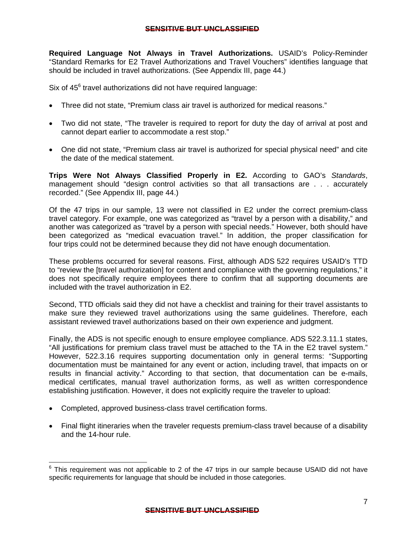**Required Language Not Always in Travel Authorizations.** USAID's Policy-Reminder "Standard Remarks for E2 Travel Authorizations and Travel Vouchers" identifies language that should be included in travel authorizations. (See Appendix III, page 44.)

Six of 45<sup>6</sup> travel authorizations did not have required language:

- Three did not state, "Premium class air travel is authorized for medical reasons."
- Two did not state, "The traveler is required to report for duty the day of arrival at post and cannot depart earlier to accommodate a rest stop."
- One did not state, "Premium class air travel is authorized for special physical need" and cite the date of the medical statement.

**Trips Were Not Always Classified Properly in E2.** According to GAO's *Standards*, management should "design control activities so that all transactions are . . . accurately recorded." (See Appendix III, page 44.)

Of the 47 trips in our sample, 13 were not classified in E2 under the correct premium-class travel category. For example, one was categorized as "travel by a person with a disability," and another was categorized as "travel by a person with special needs." However, both should have been categorized as "medical evacuation travel." In addition, the proper classification for four trips could not be determined because they did not have enough documentation.

These problems occurred for several reasons. First, although ADS 522 requires USAID's TTD to "review the [travel authorization] for content and compliance with the governing regulations," it does not specifically require employees there to confirm that all supporting documents are included with the travel authorization in E2.

Second, TTD officials said they did not have a checklist and training for their travel assistants to make sure they reviewed travel authorizations using the same guidelines. Therefore, each assistant reviewed travel authorizations based on their own experience and judgment.

Finally, the ADS is not specific enough to ensure employee compliance. ADS 522.3.11.1 states, "All justifications for premium class travel must be attached to the TA in the E2 travel system." However, 522.3.16 requires supporting documentation only in general terms: "Supporting documentation must be maintained for any event or action, including travel, that impacts on or results in financial activity." According to that section, that documentation can be e-mails, medical certificates, manual travel authorization forms, as well as written correspondence establishing justification. However, it does not explicitly require the traveler to upload:

 Completed, approved business-class travel certification forms.

 Final flight itineraries when the traveler requests premium-class travel because of a disability and the 14-hour rule.

 $6$  This requirement was not applicable to 2 of the 47 trips in our sample because USAID did not have specific requirements for language that should be included in those categories.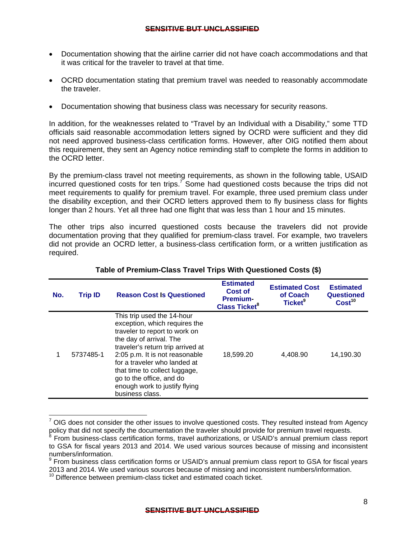- Documentation showing that the airline carrier did not have coach accommodations and that it was critical for the traveler to travel at that time.
- OCRD documentation stating that premium travel was needed to reasonably accommodate the traveler.
- Documentation showing that business class was necessary for security reasons.

In addition, for the weaknesses related to "Travel by an Individual with a Disability," some TTD officials said reasonable accommodation letters signed by OCRD were sufficient and they did not need approved business-class certification forms. However, after OIG notified them about this requirement, they sent an Agency notice reminding staff to complete the forms in addition to the OCRD letter.

By the premium-class travel not meeting requirements, as shown in the following table, USAID incurred questioned costs for ten trips.<sup>7</sup> Some had questioned costs because the trips did not meet requirements to qualify for premium travel. For example, three used premium class under the disability exception, and their OCRD letters approved them to fly business class for flights longer than 2 hours. Yet all three had one flight that was less than 1 hour and 15 minutes.

The other trips also incurred questioned costs because the travelers did not provide documentation proving that they qualified for premium-class travel. For example, two travelers did not provide an OCRD letter, a business-class certification form, or a written justification as required.

| No.                                                                                                   | <b>Trip ID</b> | <b>Reason Cost Is Questioned</b>                                                                                                                                                                                                                                                                                                                | <b>Estimated</b><br>Cost of<br><b>Premium-</b><br><b>Class Ticket</b> <sup>8</sup> | <b>Estimated Cost</b><br>of Coach<br>Ticket <sup>9</sup> | <b>Estimated</b><br>Questioned<br>Cost <sup>10</sup> |
|-------------------------------------------------------------------------------------------------------|----------------|-------------------------------------------------------------------------------------------------------------------------------------------------------------------------------------------------------------------------------------------------------------------------------------------------------------------------------------------------|------------------------------------------------------------------------------------|----------------------------------------------------------|------------------------------------------------------|
|                                                                                                       | 5737485-1      | This trip used the 14-hour<br>exception, which requires the<br>traveler to report to work on<br>the day of arrival. The<br>traveler's return trip arrived at<br>2:05 p.m. It is not reasonable<br>for a traveler who landed at<br>that time to collect luggage,<br>go to the office, and do<br>enough work to justify flying<br>business class. | 18,599.20                                                                          | 4,408.90                                                 | 14,190.30                                            |
| OIG does not consider the other issues to involve questioned costs. They resulted instead from Agency |                |                                                                                                                                                                                                                                                                                                                                                 |                                                                                    |                                                          |                                                      |

#### **Table of Premium-Class Travel Trips With Questioned Costs (\$)**

policy that did not specify the documentation the traveler should provide for premium travel requests.

From business-class certification forms, travel authorizations, or USAID's annual premium class report to GSA for fiscal years 2013 and 2014. We used various sources because of missing and inconsistent numbers/information.

<sup>&</sup>lt;sup>9</sup> From business class certification forms or USAID's annual premium class report to GSA for fiscal years 2013 and 2014. We used various sources because of missing and inconsistent numbers/information.<br><sup>10</sup> Difference between premium-class ticket and estimated coach ticket.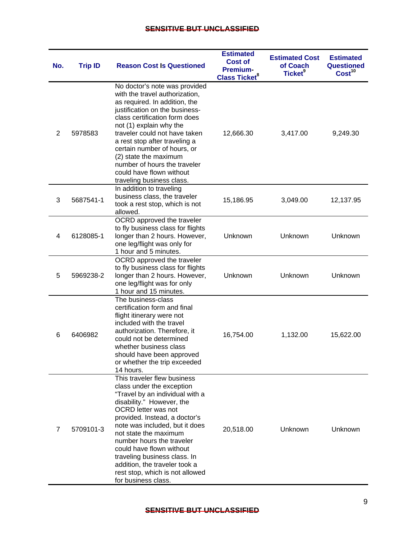| No.            | <b>Trip ID</b> | <b>Reason Cost Is Questioned</b>                                                                                                                                                                                                                                                                                                                                                                                                | <b>Estimated</b><br><b>Cost of</b><br><b>Premium-</b><br><b>Class Ticket<sup>8</sup></b> | <b>Estimated Cost</b><br>of Coach<br>Ticket <sup>9</sup> | <b>Estimated</b><br><b>Questioned</b><br>Cost <sup>10</sup> |
|----------------|----------------|---------------------------------------------------------------------------------------------------------------------------------------------------------------------------------------------------------------------------------------------------------------------------------------------------------------------------------------------------------------------------------------------------------------------------------|------------------------------------------------------------------------------------------|----------------------------------------------------------|-------------------------------------------------------------|
| $\overline{2}$ | 5978583        | No doctor's note was provided<br>with the travel authorization,<br>as required. In addition, the<br>justification on the business-<br>class certification form does<br>not (1) explain why the<br>traveler could not have taken<br>a rest stop after traveling a<br>certain number of hours, or<br>(2) state the maximum<br>number of hours the traveler<br>could have flown without<br>traveling business class.               | 12,666.30                                                                                | 3,417.00                                                 | 9,249.30                                                    |
| 3              | 5687541-1      | In addition to traveling<br>business class, the traveler<br>took a rest stop, which is not<br>allowed.                                                                                                                                                                                                                                                                                                                          | 15,186.95                                                                                | 3,049.00                                                 | 12,137.95                                                   |
| 4              | 6128085-1      | OCRD approved the traveler<br>to fly business class for flights<br>longer than 2 hours. However,<br>one leg/flight was only for<br>1 hour and 5 minutes.                                                                                                                                                                                                                                                                        | Unknown                                                                                  | Unknown                                                  | Unknown                                                     |
| 5              | 5969238-2      | OCRD approved the traveler<br>to fly business class for flights<br>longer than 2 hours. However,<br>one leg/flight was for only<br>1 hour and 15 minutes.                                                                                                                                                                                                                                                                       | Unknown                                                                                  | Unknown                                                  | Unknown                                                     |
| 6              | 6406982        | The business-class<br>certification form and final<br>flight itinerary were not<br>included with the travel<br>authorization. Therefore, it<br>could not be determined<br>whether business class<br>should have been approved<br>or whether the trip exceeded<br>14 hours.                                                                                                                                                      | 16,754.00                                                                                | 1,132.00                                                 | 15,622.00                                                   |
| 7              | 5709101-3      | This traveler flew business<br>class under the exception<br>"Travel by an individual with a<br>disability." However, the<br>OCRD letter was not<br>provided. Instead, a doctor's<br>note was included, but it does<br>not state the maximum<br>number hours the traveler<br>could have flown without<br>traveling business class. In<br>addition, the traveler took a<br>rest stop, which is not allowed<br>for business class. | 20,518.00                                                                                | Unknown                                                  | Unknown                                                     |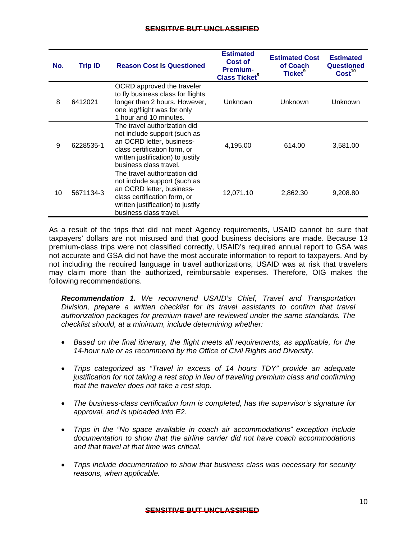| No. | <b>Trip ID</b> | <b>Reason Cost Is Questioned</b>                                                                                                                                                         | <b>Estimated</b><br>Cost of<br><b>Premium-</b><br><b>Class Ticket<sup>8</sup></b> | <b>Estimated Cost</b><br>of Coach<br>Ticket <sup>9</sup> | <b>Estimated</b><br>Questioned<br>Cost <sup>10</sup> |
|-----|----------------|------------------------------------------------------------------------------------------------------------------------------------------------------------------------------------------|-----------------------------------------------------------------------------------|----------------------------------------------------------|------------------------------------------------------|
| 8   | 6412021        | OCRD approved the traveler<br>to fly business class for flights<br>longer than 2 hours. However,<br>one leg/flight was for only<br>1 hour and 10 minutes.                                | Unknown                                                                           | Unknown                                                  | Unknown                                              |
| 9   | 6228535-1      | The travel authorization did<br>not include support (such as<br>an OCRD letter, business-<br>class certification form, or<br>written justification) to justify<br>business class travel. | 4,195.00                                                                          | 614.00                                                   | 3,581.00                                             |
| 10  | 5671134-3      | The travel authorization did<br>not include support (such as<br>an OCRD letter, business-<br>class certification form, or<br>written justification) to justify<br>business class travel. | 12,071.10                                                                         | 2,862.30                                                 | 9,208.80                                             |

As a result of the trips that did not meet Agency requirements, USAID cannot be sure that taxpayers' dollars are not misused and that good business decisions are made. Because 13 premium-class trips were not classified correctly, USAID's required annual report to GSA was not accurate and GSA did not have the most accurate information to report to taxpayers. And by not including the required language in travel authorizations, USAID was at risk that travelers may claim more than the authorized, reimbursable expenses. Therefore, OIG makes the following recommendations.

*Recommendation 1. We recommend USAID's Chief, Travel and Transportation Division, prepare a written checklist for its travel assistants to confirm that travel authorization packages for premium travel are reviewed under the same standards. The checklist should, at a minimum, include determining whether:* 

- *Based on the final itinerary, the flight meets all requirements, as applicable, for the 14-hour rule or as recommend by the Office of Civil Rights and Diversity.*
- *Trips categorized as "Travel in excess of 14 hours TDY" provide an adequate justification for not taking a rest stop in lieu of traveling premium class and confirming that the traveler does not take a rest stop.*
- *The business-class certification form is completed, has the supervisor's signature for approval, and is uploaded into E2.*
- *Trips in the "No space available in coach air accommodations" exception include documentation to show that the airline carrier did not have coach accommodations and that travel at that time was critical.*
- *Trips include documentation to show that business class was necessary for security reasons, when applicable.*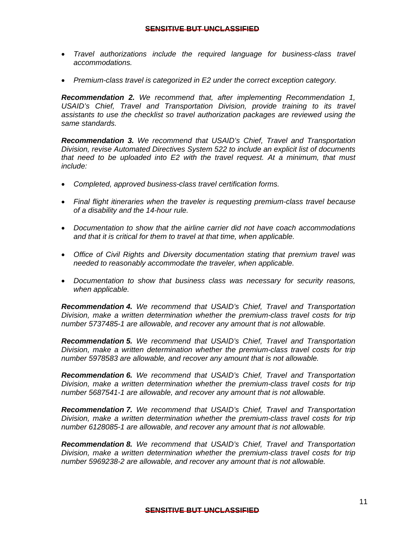- *Travel authorizations include the required language for business-class travel accommodations.*
- *Premium-class travel is categorized in E2 under the correct exception category.*

*Recommendation 2. We recommend that, after implementing Recommendation 1,*  USAID's Chief, Travel and Transportation Division, provide training to its travel *assistants to use the checklist so travel authorization packages are reviewed using the same standards.* 

*Recommendation 3. We recommend that USAID's Chief, Travel and Transportation Division, revise Automated Directives System 522 to include an explicit list of documents that need to be uploaded into E2 with the travel request. At a minimum, that must include:* 

- *Completed, approved business-class travel certification forms.*
- *Final flight itineraries when the traveler is requesting premium-class travel because of a disability and the 14-hour rule.*
- *Documentation to show that the airline carrier did not have coach accommodations and that it is critical for them to travel at that time, when applicable.*
- *Office of Civil Rights and Diversity documentation stating that premium travel was needed to reasonably accommodate the traveler, when applicable.*
- *Documentation to show that business class was necessary for security reasons, when applicable.*

*Recommendation 4. We recommend that USAID's Chief, Travel and Transportation Division, make a written determination whether the premium-class travel costs for trip number 5737485-1 are allowable, and recover any amount that is not allowable.* 

*Recommendation 5. We recommend that USAID's Chief, Travel and Transportation Division, make a written determination whether the premium-class travel costs for trip number 5978583 are allowable, and recover any amount that is not allowable.* 

*Recommendation 6. We recommend that USAID's Chief, Travel and Transportation Division, make a written determination whether the premium-class travel costs for trip number 5687541-1 are allowable, and recover any amount that is not allowable.* 

*Recommendation 7. We recommend that USAID's Chief, Travel and Transportation Division, make a written determination whether the premium-class travel costs for trip number 6128085-1 are allowable, and recover any amount that is not allowable.* 

*Recommendation 8. We recommend that USAID's Chief, Travel and Transportation Division, make a written determination whether the premium-class travel costs for trip number 5969238-2 are allowable, and recover any amount that is not allowable.*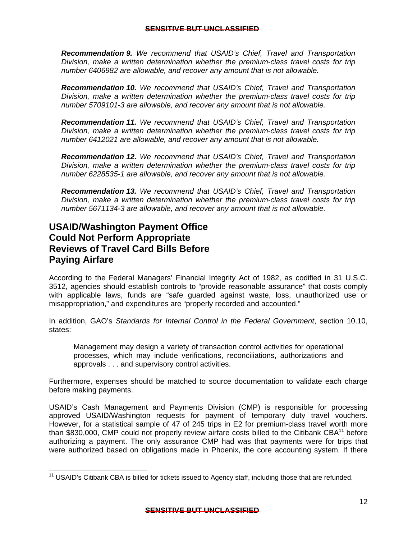*Recommendation 9. We recommend that USAID's Chief, Travel and Transportation Division, make a written determination whether the premium-class travel costs for trip number 6406982 are allowable, and recover any amount that is not allowable.* 

*Recommendation 10. We recommend that USAID's Chief, Travel and Transportation Division, make a written determination whether the premium-class travel costs for trip number 5709101-3 are allowable, and recover any amount that is not allowable.* 

*Recommendation 11. We recommend that USAID's Chief, Travel and Transportation Division, make a written determination whether the premium-class travel costs for trip number 6412021 are allowable, and recover any amount that is not allowable.* 

*Recommendation 12. We recommend that USAID's Chief, Travel and Transportation Division, make a written determination whether the premium-class travel costs for trip number 6228535-1 are allowable, and recover any amount that is not allowable.* 

*Recommendation 13. We recommend that USAID's Chief, Travel and Transportation Division, make a written determination whether the premium-class travel costs for trip number 5671134-3 are allowable, and recover any amount that is not allowable.* 

### **USAID/Washington Payment Office Could Not Perform Appropriate Reviews of Travel Card Bills Before Paying Airfare**

According to the Federal Managers' Financial Integrity Act of 1982, as codified in 31 U.S.C. 3512, agencies should establish controls to "provide reasonable assurance" that costs comply with applicable laws, funds are "safe guarded against waste, loss, unauthorized use or misappropriation," and expenditures are "properly recorded and accounted."

In addition, GAO's *Standards for Internal Control in the Federal Government*, section 10.10, states:

approvals . . . and supervisory control activities. Management may design a variety of transaction control activities for operational processes, which may include verifications, reconciliations, authorizations and

Furthermore, expenses should be matched to source documentation to validate each charge before making payments.

were authorized based on obligations made in Phoenix, the core accounting system. If there USAID's Cash Management and Payments Division (CMP) is responsible for processing approved USAID/Washington requests for payment of temporary duty travel vouchers. However, for a statistical sample of 47 of 245 trips in E2 for premium-class travel worth more than \$830,000, CMP could not properly review airfare costs billed to the Citibank  $CBA<sup>11</sup>$  before authorizing a payment. The only assurance CMP had was that payments were for trips that

 were authorized based on obligations made in Phoenix, the core accounting system. If there<br>11 USAID's Citibank CBA is billed for tickets issued to Agency staff, including those that are refunded.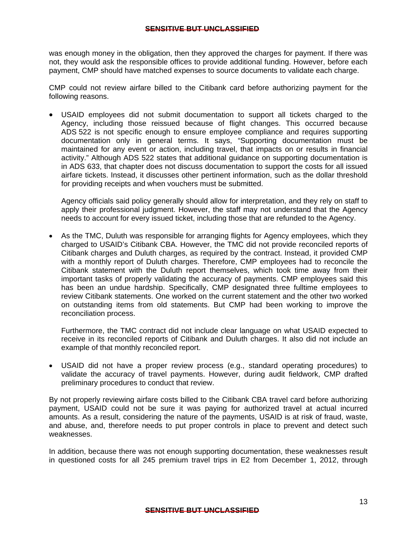was enough money in the obligation, then they approved the charges for payment. If there was not, they would ask the responsible offices to provide additional funding. However, before each payment, CMP should have matched expenses to source documents to validate each charge.

CMP could not review airfare billed to the Citibank card before authorizing payment for the following reasons.

 USAID employees did not submit documentation to support all tickets charged to the Agency, including those reissued because of flight changes. This occurred because ADS 522 is not specific enough to ensure employee compliance and requires supporting documentation only in general terms. It says, "Supporting documentation must be maintained for any event or action, including travel, that impacts on or results in financial activity." Although ADS 522 states that additional guidance on supporting documentation is in ADS 633, that chapter does not discuss documentation to support the costs for all issued airfare tickets. Instead, it discusses other pertinent information, such as the dollar threshold for providing receipts and when vouchers must be submitted.

Agency officials said policy generally should allow for interpretation, and they rely on staff to apply their professional judgment. However, the staff may not understand that the Agency needs to account for every issued ticket, including those that are refunded to the Agency.

 As the TMC, Duluth was responsible for arranging flights for Agency employees, which they charged to USAID's Citibank CBA. However, the TMC did not provide reconciled reports of Citibank charges and Duluth charges, as required by the contract. Instead, it provided CMP with a monthly report of Duluth charges. Therefore, CMP employees had to reconcile the Citibank statement with the Duluth report themselves, which took time away from their important tasks of properly validating the accuracy of payments. CMP employees said this has been an undue hardship. Specifically, CMP designated three fulltime employees to review Citibank statements. One worked on the current statement and the other two worked on outstanding items from old statements. But CMP had been working to improve the reconciliation process.

Furthermore, the TMC contract did not include clear language on what USAID expected to receive in its reconciled reports of Citibank and Duluth charges. It also did not include an example of that monthly reconciled report.

 USAID did not have a proper review process (e.g., standard operating procedures) to validate the accuracy of travel payments. However, during audit fieldwork, CMP drafted preliminary procedures to conduct that review.

By not properly reviewing airfare costs billed to the Citibank CBA travel card before authorizing payment, USAID could not be sure it was paying for authorized travel at actual incurred amounts. As a result, considering the nature of the payments, USAID is at risk of fraud, waste, and abuse, and, therefore needs to put proper controls in place to prevent and detect such weaknesses.

In addition, because there was not enough supporting documentation, these weaknesses result in questioned costs for all 245 premium travel trips in E2 from December 1, 2012, through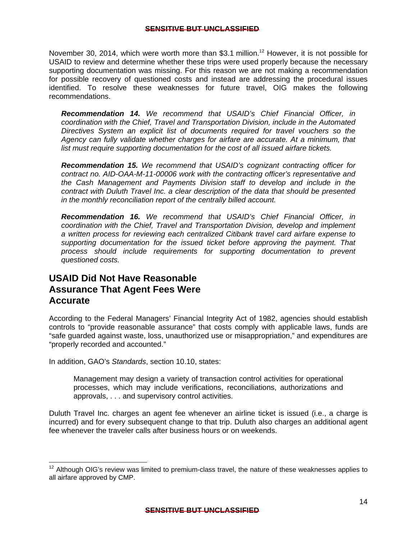November 30, 2014, which were worth more than \$3.1 million.<sup>12</sup> However, it is not possible for USAID to review and determine whether these trips were used properly because the necessary supporting documentation was missing. For this reason we are not making a recommendation for possible recovery of questioned costs and instead are addressing the procedural issues identified. To resolve these weaknesses for future travel, OIG makes the following recommendations.

*Recommendation 14. We recommend that USAID's Chief Financial Officer, in coordination with the Chief, Travel and Transportation Division, include in the Automated Directives System an explicit list of documents required for travel vouchers so the Agency can fully validate whether charges for airfare are accurate. At a minimum, that list must require supporting documentation for the cost of all issued airfare tickets.* 

*Recommendation 15. We recommend that USAID's cognizant contracting officer for contract no. AID-OAA-M-11-00006 work with the contracting officer's representative and the Cash Management and Payments Division staff to develop and include in the contract with Duluth Travel Inc. a clear description of the data that should be presented in the monthly reconciliation report of the centrally billed account.* 

*Recommendation 16. We recommend that USAID's Chief Financial Officer, in coordination with the Chief, Travel and Transportation Division, develop and implement a written process for reviewing each centralized Citibank travel card airfare expense to supporting documentation for the issued ticket before approving the payment. That process should include requirements for supporting documentation to prevent questioned costs.* 

### **USAID Did Not Have Reasonable Assurance That Agent Fees Were Accurate**

According to the Federal Managers' Financial Integrity Act of 1982, agencies should establish controls to "provide reasonable assurance" that costs comply with applicable laws, funds are "safe guarded against waste, loss, unauthorized use or misappropriation," and expenditures are "properly recorded and accounted."

In addition, GAO's *Standards*, section 10.10, states:

 $\overline{a}$ 

 approvals, . . . and supervisory control activities. Management may design a variety of transaction control activities for operational processes, which may include verifications, reconciliations, authorizations and

Duluth Travel Inc. charges an agent fee whenever an airline ticket is issued (i.e., a charge is incurred) and for every subsequent change to that trip. Duluth also charges an additional agent fee whenever the traveler calls after business hours or on weekends.

 $12$  Although OIG's review was limited to premium-class travel, the nature of these weaknesses applies to all airfare approved by CMP.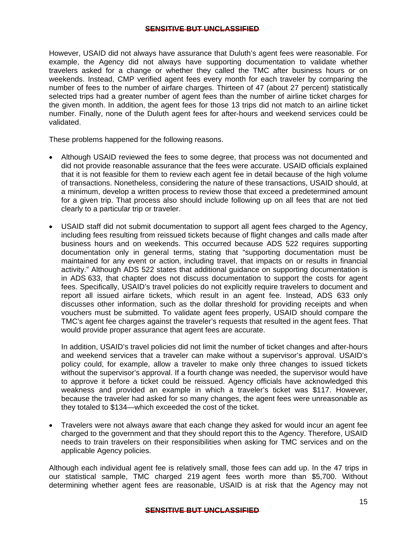However, USAID did not always have assurance that Duluth's agent fees were reasonable. For example, the Agency did not always have supporting documentation to validate whether travelers asked for a change or whether they called the TMC after business hours or on weekends. Instead, CMP verified agent fees every month for each traveler by comparing the number of fees to the number of airfare charges. Thirteen of 47 (about 27 percent) statistically selected trips had a greater number of agent fees than the number of airline ticket charges for the given month. In addition, the agent fees for those 13 trips did not match to an airline ticket number. Finally, none of the Duluth agent fees for after-hours and weekend services could be validated.

These problems happened for the following reasons.

- Although USAID reviewed the fees to some degree, that process was not documented and did not provide reasonable assurance that the fees were accurate. USAID officials explained that it is not feasible for them to review each agent fee in detail because of the high volume of transactions. Nonetheless, considering the nature of these transactions, USAID should, at a minimum, develop a written process to review those that exceed a predetermined amount for a given trip. That process also should include following up on all fees that are not tied clearly to a particular trip or traveler.
- USAID staff did not submit documentation to support all agent fees charged to the Agency, including fees resulting from reissued tickets because of flight changes and calls made after business hours and on weekends. This occurred because ADS 522 requires supporting documentation only in general terms, stating that "supporting documentation must be maintained for any event or action, including travel, that impacts on or results in financial activity." Although ADS 522 states that additional guidance on supporting documentation is in ADS 633, that chapter does not discuss documentation to support the costs for agent fees. Specifically, USAID's travel policies do not explicitly require travelers to document and report all issued airfare tickets, which result in an agent fee. Instead, ADS 633 only discusses other information, such as the dollar threshold for providing receipts and when vouchers must be submitted. To validate agent fees properly, USAID should compare the TMC's agent fee charges against the traveler's requests that resulted in the agent fees. That would provide proper assurance that agent fees are accurate.

In addition, USAID's travel policies did not limit the number of ticket changes and after-hours and weekend services that a traveler can make without a supervisor's approval. USAID's policy could, for example, allow a traveler to make only three changes to issued tickets without the supervisor's approval. If a fourth change was needed, the supervisor would have to approve it before a ticket could be reissued. Agency officials have acknowledged this weakness and provided an example in which a traveler's ticket was \$117. However, because the traveler had asked for so many changes, the agent fees were unreasonable as they totaled to \$134—which exceeded the cost of the ticket.

 Travelers were not always aware that each change they asked for would incur an agent fee charged to the government and that they should report this to the Agency. Therefore, USAID needs to train travelers on their responsibilities when asking for TMC services and on the applicable Agency policies.

Although each individual agent fee is relatively small, those fees can add up. In the 47 trips in our statistical sample, TMC charged 219 agent fees worth more than \$5,700. Without determining whether agent fees are reasonable, USAID is at risk that the Agency may not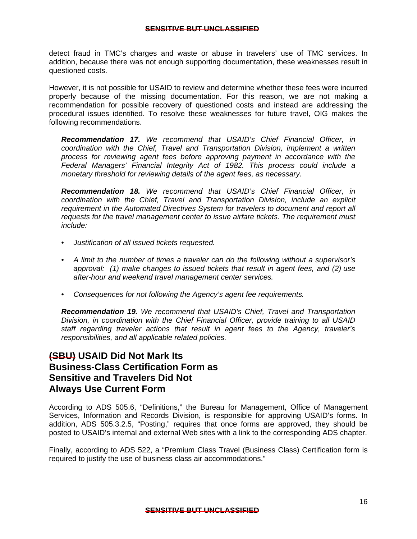detect fraud in TMC's charges and waste or abuse in travelers' use of TMC services. In addition, because there was not enough supporting documentation, these weaknesses result in questioned costs.

However, it is not possible for USAID to review and determine whether these fees were incurred properly because of the missing documentation. For this reason, we are not making a recommendation for possible recovery of questioned costs and instead are addressing the procedural issues identified. To resolve these weaknesses for future travel, OIG makes the following recommendations.

*Recommendation 17. We recommend that USAID's Chief Financial Officer, in coordination with the Chief, Travel and Transportation Division, implement a written process for reviewing agent fees before approving payment in accordance with the Federal Managers' Financial Integrity Act of 1982. This process could include a monetary threshold for reviewing details of the agent fees, as necessary.* 

*Recommendation 18. We recommend that USAID's Chief Financial Officer, in coordination with the Chief, Travel and Transportation Division, include an explicit requirement in the Automated Directives System for travelers to document and report all requests for the travel management center to issue airfare tickets. The requirement must include:* 

- *Justification of all issued tickets requested.*
- *A limit to the number of times a traveler can do the following without a supervisor's approval: (1) make changes to issued tickets that result in agent fees, and (2) use after-hour and weekend travel management center services.*
- *Consequences for not following the Agency's agent fee requirements.*

*Recommendation 19. We recommend that USAID's Chief, Travel and Transportation Division, in coordination with the Chief Financial Officer, provide training to all USAID staff regarding traveler actions that result in agent fees to the Agency, traveler's responsibilities, and all applicable related policies.* 

### **(SBU) USAID Did Not Mark Its Business-Class Certification Form as Sensitive and Travelers Did Not Always Use Current Form**

According to ADS 505.6, "Definitions," the Bureau for Management, Office of Management Services, Information and Records Division, is responsible for approving USAID's forms. In addition, ADS 505.3.2.5, "Posting," requires that once forms are approved, they should be posted to USAID's internal and external Web sites with a link to the corresponding ADS chapter.

Finally, according to ADS 522, a "Premium Class Travel (Business Class) Certification form is required to justify the use of business class air accommodations."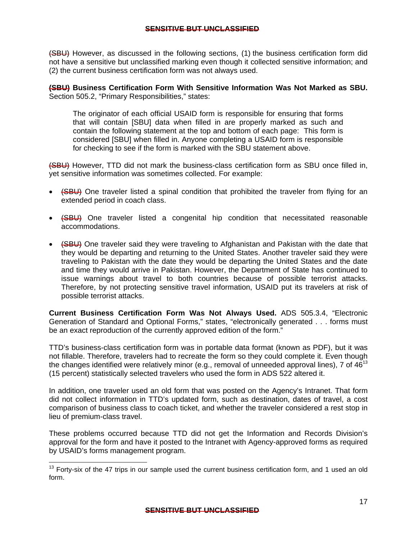(SBU) However, as discussed in the following sections, (1) the business certification form did not have a sensitive but unclassified marking even though it collected sensitive information; and (2) the current business certification form was not always used.

**(SBU) Business Certification Form With Sensitive Information Was Not Marked as SBU.**  Section 505.2, "Primary Responsibilities," states:

The originator of each official USAID form is responsible for ensuring that forms that will contain [SBU] data when filled in are properly marked as such and contain the following statement at the top and bottom of each page: This form is considered [SBU] when filled in. Anyone completing a USAID form is responsible for checking to see if the form is marked with the SBU statement above.

(SBU) However, TTD did not mark the business-class certification form as SBU once filled in, yet sensitive information was sometimes collected. For example:

- (SBU) One traveler listed a spinal condition that prohibited the traveler from flying for an extended period in coach class.
- (SBU) One traveler listed a congenital hip condition that necessitated reasonable accommodations.
- (SBU) One traveler said they were traveling to Afghanistan and Pakistan with the date that they would be departing and returning to the United States. Another traveler said they were traveling to Pakistan with the date they would be departing the United States and the date and time they would arrive in Pakistan. However, the Department of State has continued to issue warnings about travel to both countries because of possible terrorist attacks. Therefore, by not protecting sensitive travel information, USAID put its travelers at risk of possible terrorist attacks.

**Current Business Certification Form Was Not Always Used.** ADS 505.3.4, "Electronic Generation of Standard and Optional Forms," states, "electronically generated . . . forms must be an exact reproduction of the currently approved edition of the form."

TTD's business-class certification form was in portable data format (known as PDF), but it was not fillable. Therefore, travelers had to recreate the form so they could complete it. Even though the changes identified were relatively minor (e.g., removal of unneeded approval lines), 7 of  $46^{13}$ (15 percent) statistically selected travelers who used the form in ADS 522 altered it.

In addition, one traveler used an old form that was posted on the Agency's Intranet. That form did not collect information in TTD's updated form, such as destination, dates of travel, a cost comparison of business class to coach ticket, and whether the traveler considered a rest stop in lieu of premium-class travel.

These problems occurred because TTD did not get the Information and Records Division's approval for the form and have it posted to the Intranet with Agency-approved forms as required by USAID's forms management program.

 $\overline{a}$ 

 $13$  Forty-six of the 47 trips in our sample used the current business certification form, and 1 used an old form.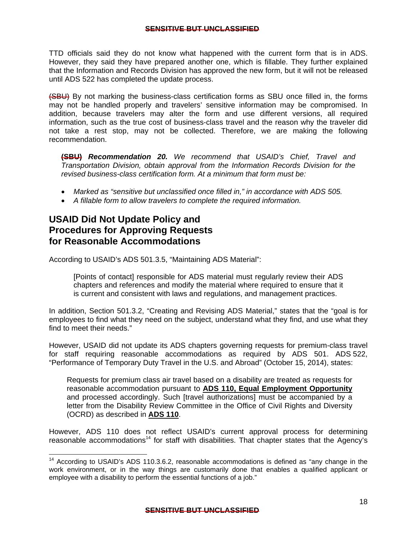TTD officials said they do not know what happened with the current form that is in ADS. However, they said they have prepared another one, which is fillable. They further explained that the Information and Records Division has approved the new form, but it will not be released until ADS 522 has completed the update process.

(SBU) By not marking the business-class certification forms as SBU once filled in, the forms may not be handled properly and travelers' sensitive information may be compromised. In addition, because travelers may alter the form and use different versions, all required information, such as the true cost of business-class travel and the reason why the traveler did not take a rest stop, may not be collected. Therefore, we are making the following recommendation.

**(SBU)** *Recommendation 20. We recommend that USAID's Chief, Travel and Transportation Division, obtain approval from the Information Records Division for the revised business-class certification form. At a minimum that form must be:* 

- *Marked as "sensitive but unclassified once filled in," in accordance with ADS 505.*
- *A fillable form to allow travelers to complete the required information.*

## **USAID Did Not Update Policy and Procedures for Approving Requests for Reasonable Accommodations**

 $\overline{a}$ 

According to USAID's ADS 501.3.5, "Maintaining ADS Material":

is current and consistent with laws and regulations, and management practices. [Points of contact] responsible for ADS material must regularly review their ADS chapters and references and modify the material where required to ensure that it

In addition, Section 501.3.2, "Creating and Revising ADS Material," states that the "goal is for employees to find what they need on the subject, understand what they find, and use what they find to meet their needs."

However, USAID did not update its ADS chapters governing requests for premium-class travel for staff requiring reasonable accommodations as required by ADS 501. ADS 522, "Performance of Temporary Duty Travel in the U.S. and Abroad" (October 15, 2014), states:

Requests for premium class air travel based on a disability are treated as requests for reasonable accommodation pursuant to **ADS 110, Equal Employment Opportunity**  and processed accordingly. Such [travel authorizations] must be accompanied by a letter from the Disability Review Committee in the Office of Civil Rights and Diversity (OCRD) as described in **ADS 110**.

However, ADS 110 does not reflect USAID's current approval process for determining reasonable accommodations<sup>14</sup> for staff with disabilities. That chapter states that the Agency's

 $14$  According to USAID's ADS 110.3.6.2, reasonable accommodations is defined as "any change in the work environment, or in the way things are customarily done that enables a qualified applicant or employee with a disability to perform the essential functions of a job."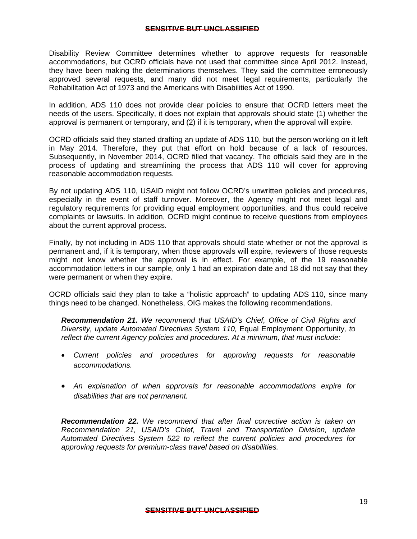Disability Review Committee determines whether to approve requests for reasonable accommodations, but OCRD officials have not used that committee since April 2012. Instead, they have been making the determinations themselves. They said the committee erroneously approved several requests, and many did not meet legal requirements, particularly the Rehabilitation Act of 1973 and the Americans with Disabilities Act of 1990.

In addition, ADS 110 does not provide clear policies to ensure that OCRD letters meet the needs of the users. Specifically, it does not explain that approvals should state (1) whether the approval is permanent or temporary, and (2) if it is temporary, when the approval will expire.

OCRD officials said they started drafting an update of ADS 110, but the person working on it left in May 2014. Therefore, they put that effort on hold because of a lack of resources. Subsequently, in November 2014, OCRD filled that vacancy. The officials said they are in the process of updating and streamlining the process that ADS 110 will cover for approving reasonable accommodation requests.

By not updating ADS 110, USAID might not follow OCRD's unwritten policies and procedures, especially in the event of staff turnover. Moreover, the Agency might not meet legal and regulatory requirements for providing equal employment opportunities, and thus could receive complaints or lawsuits. In addition, OCRD might continue to receive questions from employees about the current approval process.

Finally, by not including in ADS 110 that approvals should state whether or not the approval is permanent and, if it is temporary, when those approvals will expire, reviewers of those requests might not know whether the approval is in effect. For example, of the 19 reasonable accommodation letters in our sample, only 1 had an expiration date and 18 did not say that they were permanent or when they expire.

OCRD officials said they plan to take a "holistic approach" to updating ADS 110, since many things need to be changed. Nonetheless, OIG makes the following recommendations.

*Recommendation 21. We recommend that USAID's Chief, Office of Civil Rights and Diversity, update Automated Directives System 110,* Equal Employment Opportunity*, to reflect the current Agency policies and procedures. At a minimum, that must include:* 

- *Current policies and procedures for approving requests for reasonable accommodations.*
- *An explanation of when approvals for reasonable accommodations expire for disabilities that are not permanent.*

*Recommendation 22. We recommend that after final corrective action is taken on Recommendation 21, USAID's Chief, Travel and Transportation Division, update Automated Directives System 522 to reflect the current policies and procedures for approving requests for premium-class travel based on disabilities.*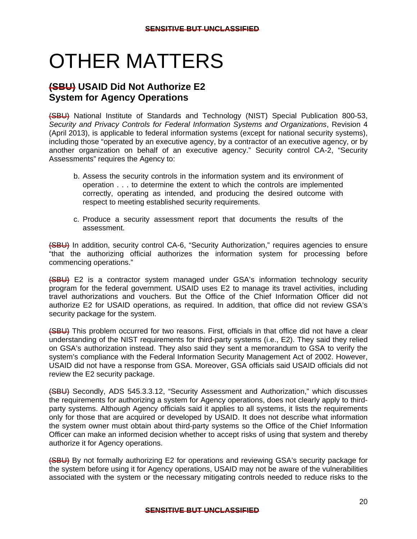# OTHER MATTERS

## **(SBU) USAID Did Not Authorize E2 System for Agency Operations**

(SBU) National Institute of Standards and Technology (NIST) Special Publication 800-53, *Security and Privacy Controls for Federal Information Systems and Organizations*, Revision 4 (April 2013), is applicable to federal information systems (except for national security systems), including those "operated by an executive agency, by a contractor of an executive agency, or by another organization on behalf of an executive agency." Security control CA-2, "Security Assessments" requires the Agency to:

- b. Assess the security controls in the information system and its environment of operation . . . to determine the extent to which the controls are implemented correctly, operating as intended, and producing the desired outcome with respect to meeting established security requirements.
- c. Produce a security assessment report that documents the results of the assessment.

(SBU) In addition, security control CA-6, "Security Authorization," requires agencies to ensure "that the authorizing official authorizes the information system for processing before commencing operations."

(SBU) E2 is a contractor system managed under GSA's information technology security program for the federal government. USAID uses E2 to manage its travel activities, including travel authorizations and vouchers. But the Office of the Chief Information Officer did not authorize E2 for USAID operations, as required. In addition, that office did not review GSA's security package for the system.

(SBU) This problem occurred for two reasons. First, officials in that office did not have a clear understanding of the NIST requirements for third-party systems (i.e., E2). They said they relied on GSA's authorization instead. They also said they sent a memorandum to GSA to verify the system's compliance with the Federal Information Security Management Act of 2002. However, USAID did not have a response from GSA. Moreover, GSA officials said USAID officials did not review the E2 security package.

(SBU) Secondly, ADS 545.3.3.12, "Security Assessment and Authorization," which discusses the requirements for authorizing a system for Agency operations, does not clearly apply to thirdparty systems. Although Agency officials said it applies to all systems, it lists the requirements only for those that are acquired or developed by USAID. It does not describe what information the system owner must obtain about third-party systems so the Office of the Chief Information Officer can make an informed decision whether to accept risks of using that system and thereby authorize it for Agency operations.

(SBU) By not formally authorizing E2 for operations and reviewing GSA's security package for the system before using it for Agency operations, USAID may not be aware of the vulnerabilities associated with the system or the necessary mitigating controls needed to reduce risks to the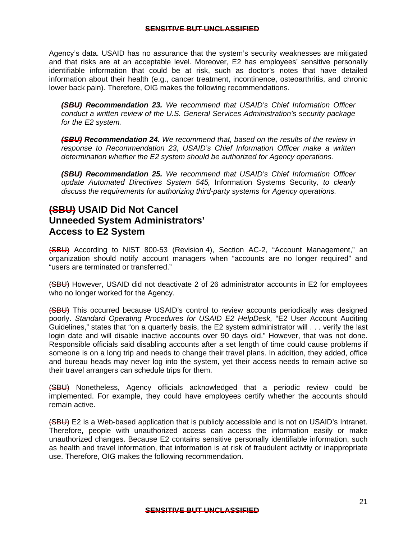Agency's data. USAID has no assurance that the system's security weaknesses are mitigated and that risks are at an acceptable level. Moreover, E2 has employees' sensitive personally identifiable information that could be at risk, such as doctor's notes that have detailed information about their health (e.g., cancer treatment, incontinence, osteoarthritis, and chronic lower back pain). Therefore, OIG makes the following recommendations.

*(SBU) Recommendation 23. We recommend that USAID's Chief Information Officer conduct a written review of the U.S. General Services Administration's security package for the E2 system.* 

*(SBU) Recommendation 24. We recommend that, based on the results of the review in response to Recommendation 23, USAID's Chief Information Officer make a written determination whether the E2 system should be authorized for Agency operations.* 

*(SBU) Recommendation 25. We recommend that USAID's Chief Information Officer update Automated Directives System 545,* Information Systems Security*, to clearly discuss the requirements for authorizing third-party systems for Agency operations.* 

### **(SBU) USAID Did Not Cancel Unneeded System Administrators' Access to E2 System**

(SBU) According to NIST 800-53 (Revision 4), Section AC-2, "Account Management," an organization should notify account managers when "accounts are no longer required" and "users are terminated or transferred."

(SBU) However, USAID did not deactivate 2 of 26 administrator accounts in E2 for employees who no longer worked for the Agency.

(SBU) This occurred because USAID's control to review accounts periodically was designed poorly. *Standard Operating Procedures for USAID E2 HelpDesk,* "E2 User Account Auditing Guidelines," states that "on a quarterly basis, the E2 system administrator will . . . verify the last login date and will disable inactive accounts over 90 days old." However, that was not done. Responsible officials said disabling accounts after a set length of time could cause problems if someone is on a long trip and needs to change their travel plans. In addition, they added, office and bureau heads may never log into the system, yet their access needs to remain active so their travel arrangers can schedule trips for them.

(SBU) Nonetheless, Agency officials acknowledged that a periodic review could be implemented. For example, they could have employees certify whether the accounts should remain active.

(SBU) E2 is a Web-based application that is publicly accessible and is not on USAID's Intranet. Therefore, people with unauthorized access can access the information easily or make unauthorized changes. Because E2 contains sensitive personally identifiable information, such as health and travel information, that information is at risk of fraudulent activity or inappropriate use. Therefore, OIG makes the following recommendation.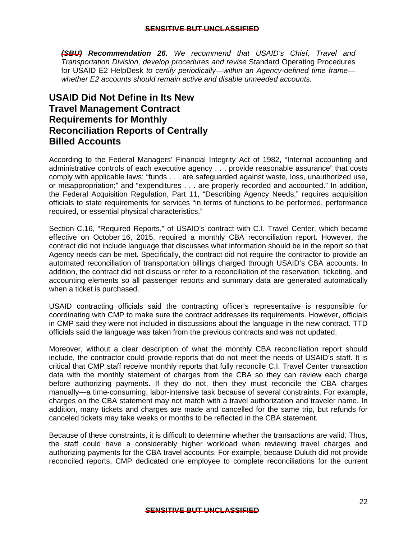*(SBU) Recommendation 26. We recommend that USAID's Chief, Travel and Transportation Division, develop procedures and revise* Standard Operating Procedures for USAID E2 HelpDesk *to certify periodically—within an Agency-defined time frame whether E2 accounts should remain active and disable unneeded accounts.* 

## **USAID Did Not Define in Its New Travel Management Contract Requirements for Monthly Reconciliation Reports of Centrally Billed Accounts**

According to the Federal Managers' Financial Integrity Act of 1982, "Internal accounting and administrative controls of each executive agency . . . provide reasonable assurance" that costs comply with applicable laws; "funds . . . are safeguarded against waste, loss, unauthorized use, or misappropriation;" and "expenditures . . . are properly recorded and accounted." In addition, the Federal Acquisition Regulation, Part 11, "Describing Agency Needs," requires acquisition officials to state requirements for services "in terms of functions to be performed, performance required, or essential physical characteristics."

Section C.16, "Required Reports," of USAID's contract with C.I. Travel Center, which became effective on October 16, 2015, required a monthly CBA reconciliation report. However, the contract did not include language that discusses what information should be in the report so that Agency needs can be met. Specifically, the contract did not require the contractor to provide an automated reconciliation of transportation billings charged through USAID's CBA accounts. In addition, the contract did not discuss or refer to a reconciliation of the reservation, ticketing, and accounting elements so all passenger reports and summary data are generated automatically when a ticket is purchased.

USAID contracting officials said the contracting officer's representative is responsible for coordinating with CMP to make sure the contract addresses its requirements. However, officials in CMP said they were not included in discussions about the language in the new contract. TTD officials said the language was taken from the previous contracts and was not updated.

Moreover, without a clear description of what the monthly CBA reconciliation report should include, the contractor could provide reports that do not meet the needs of USAID's staff. It is critical that CMP staff receive monthly reports that fully reconcile C.I. Travel Center transaction data with the monthly statement of charges from the CBA so they can review each charge before authorizing payments. If they do not, then they must reconcile the CBA charges manually—a time-consuming, labor-intensive task because of several constraints. For example, charges on the CBA statement may not match with a travel authorization and traveler name. In addition, many tickets and charges are made and cancelled for the same trip, but refunds for canceled tickets may take weeks or months to be reflected in the CBA statement.

 reconciled reports, CMP dedicated one employee to complete reconciliations for the current Because of these constraints, it is difficult to determine whether the transactions are valid. Thus, the staff could have a considerably higher workload when reviewing travel charges and authorizing payments for the CBA travel accounts. For example, because Duluth did not provide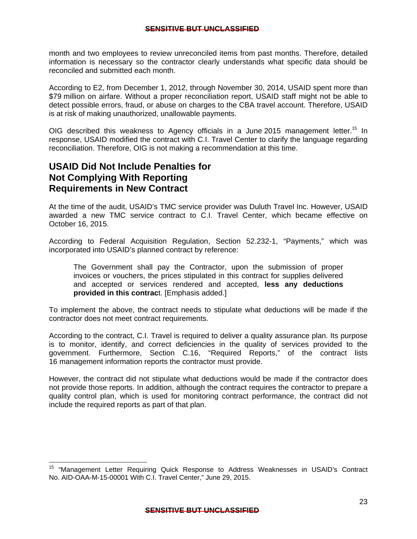<span id="page-26-0"></span>month and two employees to review unreconciled items from past months. Therefore, detailed information is necessary so the contractor clearly understands what specific data should be reconciled and submitted each month.

According to E2, from December 1, 2012, through November 30, 2014, USAID spent more than \$79 million on airfare. Without a proper reconciliation report, USAID staff might not be able to detect possible errors, fraud, or abuse on charges to the CBA travel account. Therefore, USAID is at risk of making unauthorized, unallowable payments.

OIG described this weakness to Agency officials in a June 2015 management letter.<sup>15</sup> In response, USAID modified the contract with C.I. Travel Center to clarify the language regarding reconciliation. Therefore, OIG is not making a recommendation at this time.

## **USAID Did Not Include Penalties for Not Complying With Reporting Requirements in New Contract**

 $\overline{a}$ 

At the time of the audit, USAID's TMC service provider was Duluth Travel Inc. However, USAID awarded a new TMC service contract to C.I. Travel Center, which became effective on October 16, 2015.

According to Federal Acquisition Regulation, Section 52.232-1, "Payments," which was incorporated into USAID's planned contract by reference:

The Government shall pay the Contractor, upon the submission of proper invoices or vouchers, the prices stipulated in this contract for supplies delivered and accepted or services rendered and accepted, **less any deductions provided in this contrac**t. [Emphasis added.]

To implement the above, the contract needs to stipulate what deductions will be made if the contractor does not meet contract requirements.

According to the contract, C.I. Travel is required to deliver a quality assurance plan. Its purpose is to monitor, identify, and correct deficiencies in the quality of services provided to the government. Furthermore, Section C.16, "Required Reports," of the contract lists 16 management information reports the contractor must provide.

However, the contract did not stipulate what deductions would be made if the contractor does not provide those reports. In addition, although the contract requires the contractor to prepare a quality control plan, which is used for monitoring contract performance, the contract did not include the required reports as part of that plan.

<sup>&</sup>lt;sup>15</sup> "Management Letter Requiring Quick Response to Address Weaknesses in USAID's Contract No. AID-OAA-M-15-00001 With C.I. Travel Center," June 29, 2015.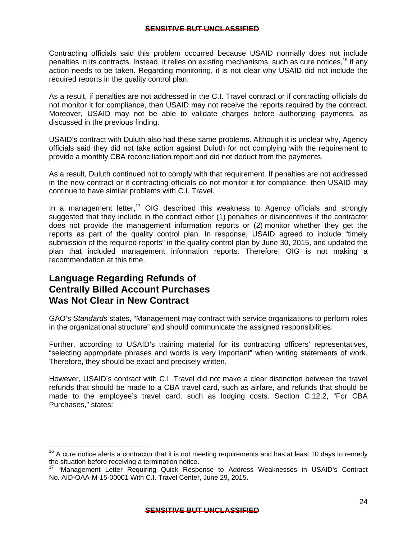Contracting officials said this problem occurred because USAID normally does not include penalties in its contracts. Instead, it relies on existing mechanisms, such as cure notices,<sup>16</sup> if any action needs to be taken. Regarding monitoring, it is not clear why USAID did not include the required reports in the quality control plan.

As a result, if penalties are not addressed in the C.I. Travel contract or if contracting officials do not monitor it for compliance, then USAID may not receive the reports required by the contract. Moreover, USAID may not be able to validate charges before authorizing payments, as discussed in the previous finding.

USAID's contract with Duluth also had these same problems. Although it is unclear why, Agency officials said they did not take action against Duluth for not complying with the requirement to provide a monthly CBA reconciliation report and did not deduct from the payments.

As a result, Duluth continued not to comply with that requirement. If penalties are not addressed in the new contract or if contracting officials do not monitor it for compliance, then USAID may continue to have similar problems with C.I. Travel.

In a management letter,<sup>17</sup> OIG described this weakness to Agency officials and strongly suggested that they include in the contract either (1) penalties or disincentives if the contractor does not provide the management information reports or (2) monitor whether they get the reports as part of the quality control plan. In response, USAID agreed to include "timely submission of the required reports" in the quality control plan by June 30, 2015, and updated the plan that included management information reports. Therefore, OIG is not making a recommendation at this time.

### **Language Regarding Refunds of Centrally Billed Account Purchases Was Not Clear in New Contract**

-

GAO's *Standards* states, "Management may contract with service organizations to perform roles in the organizational structure" and should communicate the assigned responsibilities.

Further, according to USAID's training material for its contracting officers' representatives, "selecting appropriate phrases and words is very important" when writing statements of work. Therefore, they should be exact and precisely written.

However, USAID's contract with C.I. Travel did not make a clear distinction between the travel refunds that should be made to a CBA travel card, such as airfare, and refunds that should be made to the employee's travel card, such as lodging costs. Section C.12.2, "For CBA Purchases," states:

 $16$  A cure notice alerts a contractor that it is not meeting requirements and has at least 10 days to remedy

the situation before receiving a termination notice.<br><sup>17</sup> "Management Letter Requiring Quick Response to Address Weaknesses in USAID's Contract No. AID-OAA-M-15-00001 With C.I. Travel Center, June 29, 2015.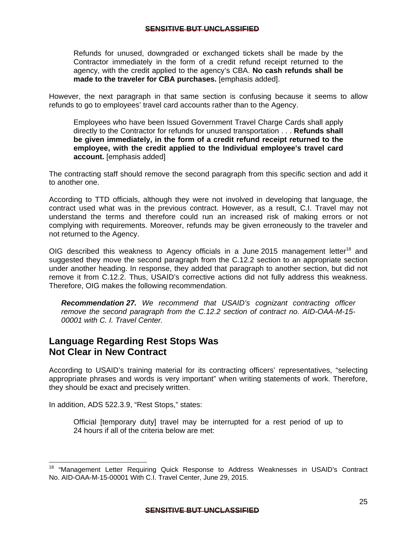<span id="page-28-0"></span>Refunds for unused, downgraded or exchanged tickets shall be made by the Contractor immediately in the form of a credit refund receipt returned to the agency, with the credit applied to the agency's CBA. **No cash refunds shall be made to the traveler for CBA purchases.** [emphasis added].

However, the next paragraph in that same section is confusing because it seems to allow refunds to go to employees' travel card accounts rather than to the Agency.

Employees who have been Issued Government Travel Charge Cards shall apply directly to the Contractor for refunds for unused transportation . . . **Refunds shall be given immediately, in the form of a credit refund receipt returned to the employee, with the credit applied to the Individual employee's travel card account.** [emphasis added]

The contracting staff should remove the second paragraph from this specific section and add it to another one.

not returned to the Agency. According to TTD officials, although they were not involved in developing that language, the contract used what was in the previous contract. However, as a result, C.I. Travel may not understand the terms and therefore could run an increased risk of making errors or not complying with requirements. Moreover, refunds may be given erroneously to the traveler and

OIG described this weakness to Agency officials in a June 2015 management letter<sup>18</sup> and suggested they move the second paragraph from the C.12.2 section to an appropriate section under another heading. In response, they added that paragraph to another section, but did not remove it from C.12.2. Thus, USAID's corrective actions did not fully address this weakness. Therefore, OIG makes the following recommendation.

*Recommendation 27. We recommend that USAID's cognizant contracting officer remove the second paragraph from the C.12.2 section of contract no. AID-OAA-M-15- 00001 with C. I. Travel Center.* 

### **Language Regarding Rest Stops Was Not Clear in New Contract**

According to USAID's training material for its contracting officers' representatives, "selecting appropriate phrases and words is very important" when writing statements of work. Therefore, they should be exact and precisely written.

In addition, ADS 522.3.9, "Rest Stops," states:

Official [temporary duty] travel may be interrupted for a rest period of up to 24 hours if all of the criteria below are met:

<sup>&</sup>lt;sup>18</sup> "Management Letter Requiring Quick Response to Address Weaknesses in USAID's Contract No. AID-OAA-M-15-00001 With C.I. Travel Center, June 29, 2015.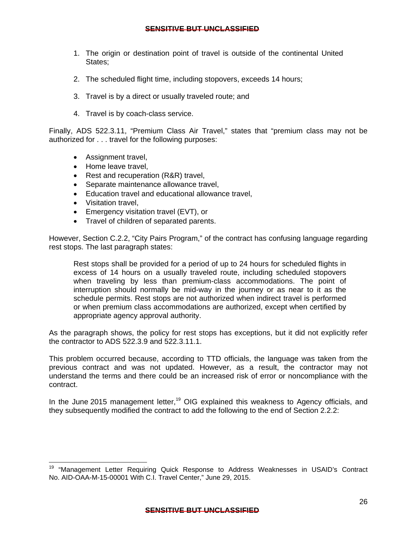- 1. The origin or destination point of travel is outside of the continental United States;
- 2. The scheduled flight time, including stopovers, exceeds 14 hours;
- 3. Travel is by a direct or usually traveled route; and
- 4. Travel is by coach-class service.

Finally, ADS 522.3.11, "Premium Class Air Travel," states that "premium class may not be authorized for . . . travel for the following purposes:

- Assignment travel,
- Home leave travel.
- Rest and recuperation (R&R) travel,
- Separate maintenance allowance travel,
- Education travel and educational allowance travel,
- Visitation travel.

- Emergency visitation travel (EVT), or
- Travel of children of separated parents.

However, Section C.2.2, "City Pairs Program," of the contract has confusing language regarding rest stops. The last paragraph states:

interruption should normally be mid-way in the journey or as near to it as the Rest stops shall be provided for a period of up to 24 hours for scheduled flights in excess of 14 hours on a usually traveled route, including scheduled stopovers when traveling by less than premium-class accommodations. The point of schedule permits. Rest stops are not authorized when indirect travel is performed or when premium class accommodations are authorized, except when certified by appropriate agency approval authority.

As the paragraph shows, the policy for rest stops has exceptions, but it did not explicitly refer the contractor to ADS 522.3.9 and 522.3.11.1.

This problem occurred because, according to TTD officials, the language was taken from the previous contract and was not updated. However, as a result, the contractor may not understand the terms and there could be an increased risk of error or noncompliance with the contract.

In the June 2015 management letter,<sup>19</sup> OIG explained this weakness to Agency officials, and they subsequently modified the contract to add the following to the end of Section 2.2.2:

<sup>&</sup>lt;sup>19</sup> "Management Letter Requiring Quick Response to Address Weaknesses in USAID's Contract No. AID-OAA-M-15-00001 With C.I. Travel Center," June 29, 2015.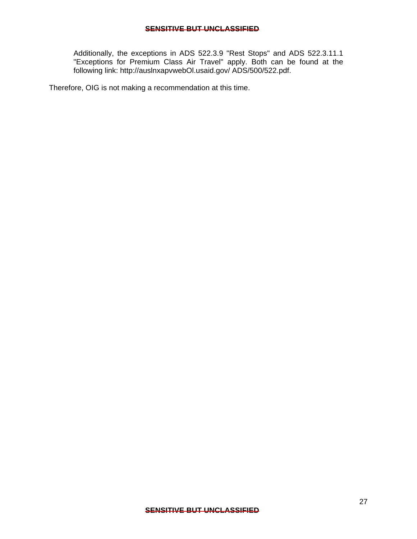Additionally, the exceptions in ADS 522.3.9 "Rest Stops" and ADS 522.3.11.1 "Exceptions for Premium Class Air Travel" apply. Both can be found at the following link: http://auslnxapvwebOl.usaid.gov/ ADS/500/522.pdf.

Therefore, OIG is not making a recommendation at this time.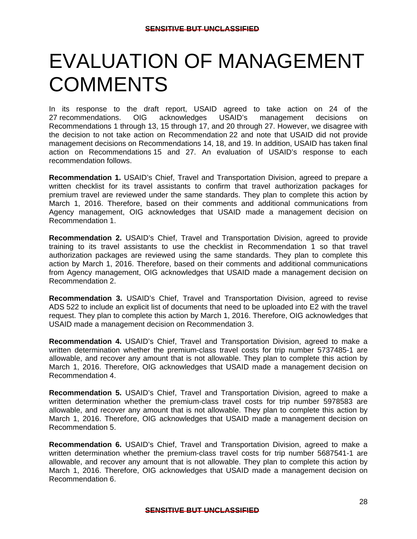## EVALUATION OF MANAGEMENT **COMMENTS**

 In its response to the draft report, USAID agreed to take action on 24 of the 27 recommendations. OIG acknowledges USAID's management decisions on Recommendations 1 through 13, 15 through 17, and 20 through 27. However, we disagree with the decision to not take action on Recommendation 22 and note that USAID did not provide management decisions on Recommendations 14, 18, and 19. In addition, USAID has taken final action on Recommendations 15 and 27. An evaluation of USAID's response to each recommendation follows.

**Recommendation 1.** USAID's Chief, Travel and Transportation Division, agreed to prepare a written checklist for its travel assistants to confirm that travel authorization packages for premium travel are reviewed under the same standards. They plan to complete this action by March 1, 2016. Therefore, based on their comments and additional communications from Agency management, OIG acknowledges that USAID made a management decision on Recommendation 1.

**Recommendation 2.** USAID's Chief, Travel and Transportation Division, agreed to provide training to its travel assistants to use the checklist in Recommendation 1 so that travel authorization packages are reviewed using the same standards. They plan to complete this action by March 1, 2016. Therefore, based on their comments and additional communications from Agency management, OIG acknowledges that USAID made a management decision on Recommendation 2.

**Recommendation 3.** USAID's Chief, Travel and Transportation Division, agreed to revise ADS 522 to include an explicit list of documents that need to be uploaded into E2 with the travel request. They plan to complete this action by March 1, 2016. Therefore, OIG acknowledges that USAID made a management decision on Recommendation 3.

**Recommendation 4.** USAID's Chief, Travel and Transportation Division, agreed to make a written determination whether the premium-class travel costs for trip number 5737485-1 are allowable, and recover any amount that is not allowable. They plan to complete this action by March 1, 2016. Therefore, OIG acknowledges that USAID made a management decision on Recommendation 4.

**Recommendation 5.** USAID's Chief, Travel and Transportation Division, agreed to make a written determination whether the premium-class travel costs for trip number 5978583 are allowable, and recover any amount that is not allowable. They plan to complete this action by March 1, 2016. Therefore, OIG acknowledges that USAID made a management decision on Recommendation 5.

**Recommendation 6.** USAID's Chief, Travel and Transportation Division, agreed to make a written determination whether the premium-class travel costs for trip number 5687541-1 are allowable, and recover any amount that is not allowable. They plan to complete this action by March 1, 2016. Therefore, OIG acknowledges that USAID made a management decision on Recommendation 6.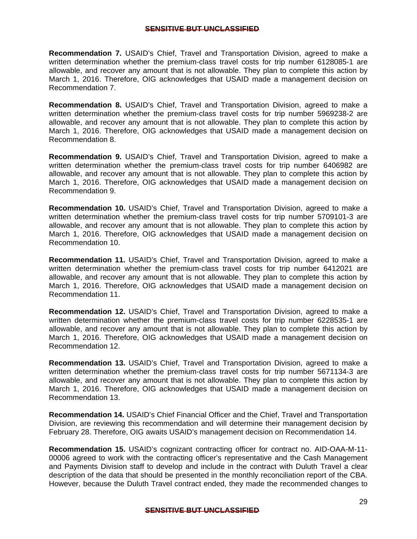**Recommendation 7.** USAID's Chief, Travel and Transportation Division, agreed to make a written determination whether the premium-class travel costs for trip number 6128085-1 are allowable, and recover any amount that is not allowable. They plan to complete this action by March 1, 2016. Therefore, OIG acknowledges that USAID made a management decision on Recommendation 7.

**Recommendation 8.** USAID's Chief, Travel and Transportation Division, agreed to make a written determination whether the premium-class travel costs for trip number 5969238-2 are allowable, and recover any amount that is not allowable. They plan to complete this action by March 1, 2016. Therefore, OIG acknowledges that USAID made a management decision on Recommendation 8.

**Recommendation 9.** USAID's Chief, Travel and Transportation Division, agreed to make a written determination whether the premium-class travel costs for trip number 6406982 are allowable, and recover any amount that is not allowable. They plan to complete this action by March 1, 2016. Therefore, OIG acknowledges that USAID made a management decision on Recommendation 9.

**Recommendation 10.** USAID's Chief, Travel and Transportation Division, agreed to make a written determination whether the premium-class travel costs for trip number 5709101-3 are allowable, and recover any amount that is not allowable. They plan to complete this action by March 1, 2016. Therefore, OIG acknowledges that USAID made a management decision on Recommendation 10.

**Recommendation 11.** USAID's Chief, Travel and Transportation Division, agreed to make a written determination whether the premium-class travel costs for trip number 6412021 are allowable, and recover any amount that is not allowable. They plan to complete this action by March 1, 2016. Therefore, OIG acknowledges that USAID made a management decision on Recommendation 11.

**Recommendation 12.** USAID's Chief, Travel and Transportation Division, agreed to make a written determination whether the premium-class travel costs for trip number 6228535-1 are allowable, and recover any amount that is not allowable. They plan to complete this action by March 1, 2016. Therefore, OIG acknowledges that USAID made a management decision on Recommendation 12.

**Recommendation 13.** USAID's Chief, Travel and Transportation Division, agreed to make a written determination whether the premium-class travel costs for trip number 5671134-3 are allowable, and recover any amount that is not allowable. They plan to complete this action by March 1, 2016. Therefore, OIG acknowledges that USAID made a management decision on Recommendation 13.

**Recommendation 14.** USAID's Chief Financial Officer and the Chief, Travel and Transportation Division, are reviewing this recommendation and will determine their management decision by February 28. Therefore, OIG awaits USAID's management decision on Recommendation 14.

**Recommendation 15.** USAID's cognizant contracting officer for contract no. AID-OAA-M-11- 00006 agreed to work with the contracting officer's representative and the Cash Management and Payments Division staff to develop and include in the contract with Duluth Travel a clear description of the data that should be presented in the monthly reconciliation report of the CBA. However, because the Duluth Travel contract ended, they made the recommended changes to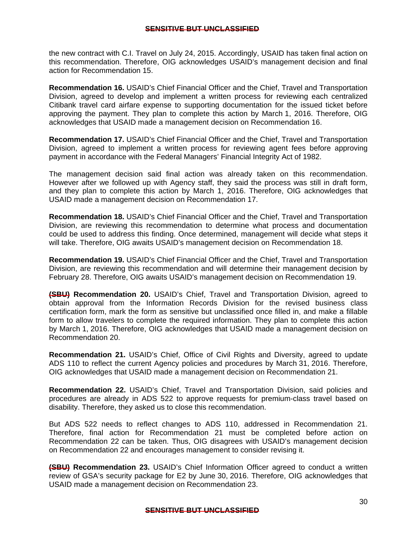the new contract with C.I. Travel on July 24, 2015. Accordingly, USAID has taken final action on this recommendation. Therefore, OIG acknowledges USAID's management decision and final action for Recommendation 15.

**Recommendation 16.** USAID's Chief Financial Officer and the Chief, Travel and Transportation Division, agreed to develop and implement a written process for reviewing each centralized Citibank travel card airfare expense to supporting documentation for the issued ticket before approving the payment. They plan to complete this action by March 1, 2016. Therefore, OIG acknowledges that USAID made a management decision on Recommendation 16.

**Recommendation 17.** USAID's Chief Financial Officer and the Chief, Travel and Transportation Division, agreed to implement a written process for reviewing agent fees before approving payment in accordance with the Federal Managers' Financial Integrity Act of 1982.

The management decision said final action was already taken on this recommendation. However after we followed up with Agency staff, they said the process was still in draft form, and they plan to complete this action by March 1, 2016. Therefore, OIG acknowledges that USAID made a management decision on Recommendation 17.

**Recommendation 18.** USAID's Chief Financial Officer and the Chief, Travel and Transportation Division, are reviewing this recommendation to determine what process and documentation could be used to address this finding. Once determined, management will decide what steps it will take. Therefore, OIG awaits USAID's management decision on Recommendation 18.

**Recommendation 19.** USAID's Chief Financial Officer and the Chief, Travel and Transportation Division, are reviewing this recommendation and will determine their management decision by February 28. Therefore, OIG awaits USAID's management decision on Recommendation 19.

**(SBU) Recommendation 20.** USAID's Chief, Travel and Transportation Division, agreed to obtain approval from the Information Records Division for the revised business class certification form, mark the form as sensitive but unclassified once filled in, and make a fillable form to allow travelers to complete the required information. They plan to complete this action by March 1, 2016. Therefore, OIG acknowledges that USAID made a management decision on Recommendation 20.

**Recommendation 21.** USAID's Chief, Office of Civil Rights and Diversity, agreed to update ADS 110 to reflect the current Agency policies and procedures by March 31, 2016. Therefore, OIG acknowledges that USAID made a management decision on Recommendation 21.

**Recommendation 22.** USAID's Chief, Travel and Transportation Division, said policies and procedures are already in ADS 522 to approve requests for premium-class travel based on disability. Therefore, they asked us to close this recommendation.

But ADS 522 needs to reflect changes to ADS 110, addressed in Recommendation 21. Therefore, final action for Recommendation 21 must be completed before action on Recommendation 22 can be taken. Thus, OIG disagrees with USAID's management decision on Recommendation 22 and encourages management to consider revising it.

**(SBU) Recommendation 23.** USAID's Chief Information Officer agreed to conduct a written review of GSA's security package for E2 by June 30, 2016. Therefore, OIG acknowledges that USAID made a management decision on Recommendation 23.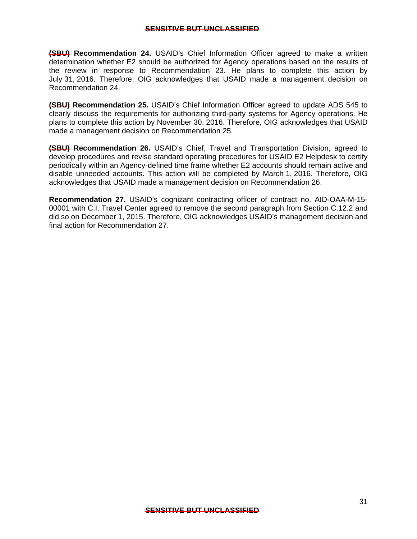**(SBU) Recommendation 24.** USAID's Chief Information Officer agreed to make a written determination whether E2 should be authorized for Agency operations based on the results of the review in response to Recommendation 23. He plans to complete this action by July 31, 2016. Therefore, OIG acknowledges that USAID made a management decision on Recommendation 24.

**(SBU) Recommendation 25.** USAID's Chief Information Officer agreed to update ADS 545 to clearly discuss the requirements for authorizing third-party systems for Agency operations. He plans to complete this action by November 30, 2016. Therefore, OIG acknowledges that USAID made a management decision on Recommendation 25.

**(SBU) Recommendation 26.** USAID's Chief, Travel and Transportation Division, agreed to develop procedures and revise standard operating procedures for USAID E2 Helpdesk to certify periodically within an Agency-defined time frame whether E2 accounts should remain active and disable unneeded accounts. This action will be completed by March 1, 2016. Therefore, OIG acknowledges that USAID made a management decision on Recommendation 26.

**Recommendation 27.** USAID's cognizant contracting officer of contract no. AID-OAA-M-15- 00001 with C.I. Travel Center agreed to remove the second paragraph from Section C.12.2 and did so on December 1, 2015. Therefore, OIG acknowledges USAID's management decision and final action for Recommendation 27.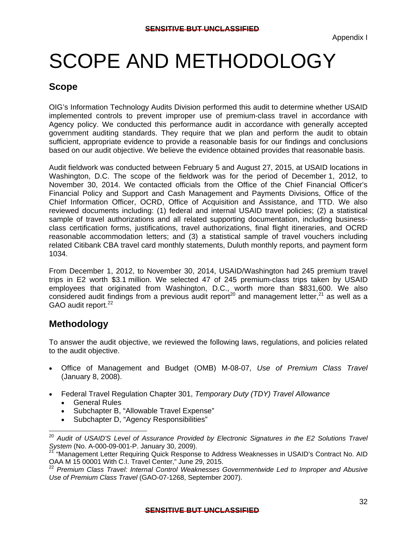## <span id="page-35-0"></span>SCOPE AND METHODOLOGY

### **Scope**

OIG's Information Technology Audits Division performed this audit to determine whether USAID implemented controls to prevent improper use of premium-class travel in accordance with Agency policy. We conducted this performance audit in accordance with generally accepted government auditing standards. They require that we plan and perform the audit to obtain sufficient, appropriate evidence to provide a reasonable basis for our findings and conclusions based on our audit objective. We believe the evidence obtained provides that reasonable basis.

Audit fieldwork was conducted between February 5 and August 27, 2015, at USAID locations in Washington, D.C. The scope of the fieldwork was for the period of December 1, 2012, to November 30, 2014. We contacted officials from the Office of the Chief Financial Officer's Financial Policy and Support and Cash Management and Payments Divisions, Office of the Chief Information Officer, OCRD, Office of Acquisition and Assistance, and TTD. We also reviewed documents including: (1) federal and internal USAID travel policies; (2) a statistical sample of travel authorizations and all related supporting documentation, including businessclass certification forms, justifications, travel authorizations, final flight itineraries, and OCRD reasonable accommodation letters; and (3) a statistical sample of travel vouchers including related Citibank CBA travel card monthly statements, Duluth monthly reports, and payment form 1034.

GAO audit report.<sup>22</sup> From December 1, 2012, to November 30, 2014, USAID/Washington had 245 premium travel trips in E2 worth \$3.1 million. We selected 47 of 245 premium-class trips taken by USAID employees that originated from Washington, D.C., worth more than \$831,600. We also considered audit findings from a previous audit report<sup>20</sup> and management letter,<sup>21</sup> as well as a

### **Methodology**

 $\overline{a}$ 

To answer the audit objective, we reviewed the following laws, regulations, and policies related to the audit objective.

- Office of Management and Budget (OMB) M-08-07, *Use of Premium Class Travel*  (January 8, 2008).
- Federal Travel Regulation Chapter 301, *Temporary Duty (TDY) Travel Allowance*  General Rules
	- Subchapter B, "Allowable Travel Expense"
	- Subchapter D, "Agency Responsibilities"

<sup>20</sup>*Audit of USAID'S Level of Assurance Provided by Electronic Signatures in the E2 Solutions Travel System* (No. A-000-09-001-P. January 30, 2009).

21 "Management Letter Requiring Quick Response to Address Weaknesses in USAID's Contract No. AID OAA M 15 00001 With C.I. Travel Center," June 29, 2015.

<sup>22</sup>*Premium Class Travel: Internal Control Weaknesses Governmentwide Led to Improper and Abusive Use of Premium Class Travel* (GAO-07-1268, September 2007).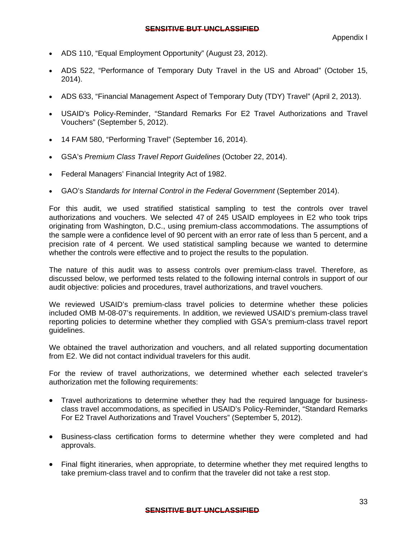- ADS 110, "Equal Employment Opportunity" (August 23, 2012).
- ADS 522, "Performance of Temporary Duty Travel in the US and Abroad" (October 15, 2014).
- ADS 633, "Financial Management Aspect of Temporary Duty (TDY) Travel" (April 2, 2013).
- USAID's Policy-Reminder, "Standard Remarks For E2 Travel Authorizations and Travel Vouchers" (September 5, 2012).
- 14 FAM 580, "Performing Travel" (September 16, 2014).
- GSA's *Premium Class Travel Report Guidelines* (October 22, 2014).
- Federal Managers' Financial Integrity Act of 1982.
- GAO's *Standards for Internal Control in the Federal Government* (September 2014).

For this audit, we used stratified statistical sampling to test the controls over travel authorizations and vouchers. We selected 47 of 245 USAID employees in E2 who took trips originating from Washington, D.C., using premium-class accommodations. The assumptions of the sample were a confidence level of 90 percent with an error rate of less than 5 percent, and a precision rate of 4 percent. We used statistical sampling because we wanted to determine whether the controls were effective and to project the results to the population.

The nature of this audit was to assess controls over premium-class travel. Therefore, as discussed below, we performed tests related to the following internal controls in support of our audit objective: policies and procedures, travel authorizations, and travel vouchers.

We reviewed USAID's premium-class travel policies to determine whether these policies included OMB M-08-07's requirements. In addition, we reviewed USAID's premium-class travel reporting policies to determine whether they complied with GSA's premium-class travel report guidelines.

We obtained the travel authorization and vouchers, and all related supporting documentation from E2. We did not contact individual travelers for this audit.

For the review of travel authorizations, we determined whether each selected traveler's authorization met the following requirements:

- Travel authorizations to determine whether they had the required language for businessclass travel accommodations, as specified in USAID's Policy-Reminder, "Standard Remarks For E2 Travel Authorizations and Travel Vouchers" (September 5, 2012).
- Business-class certification forms to determine whether they were completed and had approvals.
- Final flight itineraries, when appropriate, to determine whether they met required lengths to take premium-class travel and to confirm that the traveler did not take a rest stop.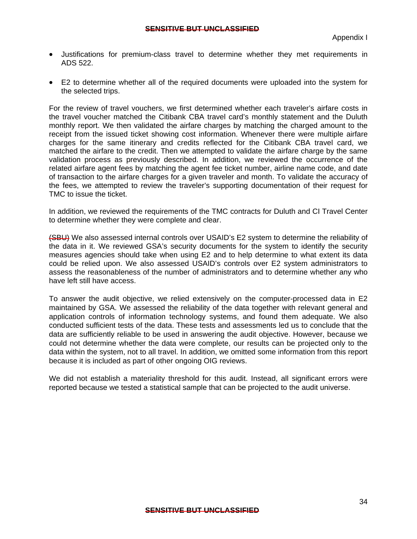- Justifications for premium-class travel to determine whether they met requirements in ADS 522.
- E2 to determine whether all of the required documents were uploaded into the system for the selected trips.

TMC to issue the ticket. For the review of travel vouchers, we first determined whether each traveler's airfare costs in the travel voucher matched the Citibank CBA travel card's monthly statement and the Duluth monthly report. We then validated the airfare charges by matching the charged amount to the receipt from the issued ticket showing cost information. Whenever there were multiple airfare charges for the same itinerary and credits reflected for the Citibank CBA travel card, we matched the airfare to the credit. Then we attempted to validate the airfare charge by the same validation process as previously described. In addition, we reviewed the occurrence of the related airfare agent fees by matching the agent fee ticket number, airline name code, and date of transaction to the airfare charges for a given traveler and month. To validate the accuracy of the fees, we attempted to review the traveler's supporting documentation of their request for

In addition, we reviewed the requirements of the TMC contracts for Duluth and CI Travel Center to determine whether they were complete and clear.

(SBU) We also assessed internal controls over USAID's E2 system to determine the reliability of the data in it. We reviewed GSA's security documents for the system to identify the security measures agencies should take when using E2 and to help determine to what extent its data could be relied upon. We also assessed USAID's controls over E2 system administrators to assess the reasonableness of the number of administrators and to determine whether any who have left still have access.

To answer the audit objective, we relied extensively on the computer-processed data in E2 maintained by GSA. We assessed the reliability of the data together with relevant general and application controls of information technology systems, and found them adequate. We also conducted sufficient tests of the data. These tests and assessments led us to conclude that the data are sufficiently reliable to be used in answering the audit objective. However, because we could not determine whether the data were complete, our results can be projected only to the data within the system, not to all travel. In addition, we omitted some information from this report because it is included as part of other ongoing OIG reviews.

We did not establish a materiality threshold for this audit. Instead, all significant errors were reported because we tested a statistical sample that can be projected to the audit universe.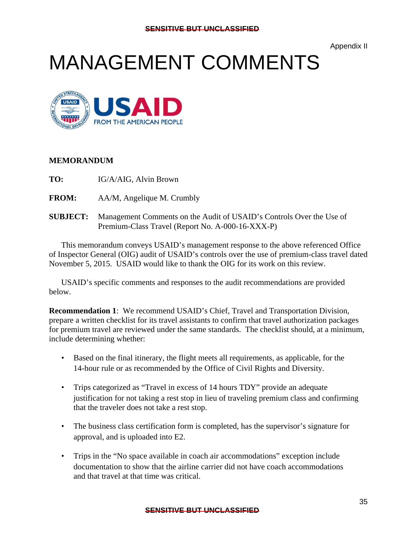Appendix II

## MANAGEMENT COMMENTS



#### **MEMORANDUM**

- TO: **IG/A/AIG, Alvin Brown**
- **FROM:** AA/M, Angelique M. Crumbly
- **SUBJECT:** Management Comments on the Audit of USAID's Controls Over the Use of Premium-Class Travel (Report No. A-000-16-XXX-P)

This memorandum conveys USAID's management response to the above referenced Office of Inspector General (OIG) audit of USAID's controls over the use of premium-class travel dated November 5, 2015. USAID would like to thank the OIG for its work on this review.

USAID's specific comments and responses to the audit recommendations are provided below.

**Recommendation 1**: We recommend USAID's Chief, Travel and Transportation Division, prepare a written checklist for its travel assistants to confirm that travel authorization packages for premium travel are reviewed under the same standards. The checklist should, at a minimum, include determining whether:

- Based on the final itinerary, the flight meets all requirements, as applicable, for the 14-hour rule or as recommended by the Office of Civil Rights and Diversity.
- Trips categorized as "Travel in excess of 14 hours TDY" provide an adequate justification for not taking a rest stop in lieu of traveling premium class and confirming that the traveler does not take a rest stop.
- The business class certification form is completed, has the supervisor's signature for approval, and is uploaded into E2.
- Trips in the "No space available in coach air accommodations" exception include documentation to show that the airline carrier did not have coach accommodations and that travel at that time was critical.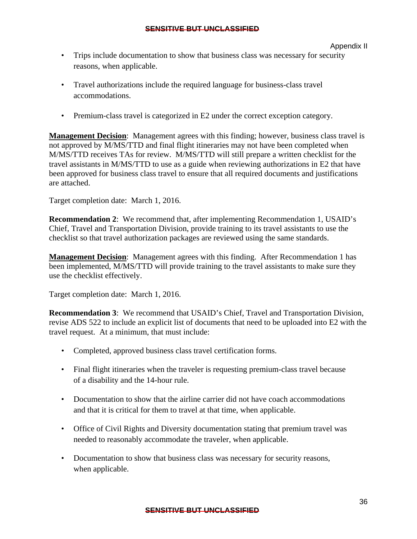- Trips include documentation to show that business class was necessary for security reasons, when applicable.
- Travel authorizations include the required language for business-class travel accommodations.
- Premium-class travel is categorized in E2 under the correct exception category.

are attached. **Management Decision**: Management agrees with this finding; however, business class travel is not approved by M/MS/TTD and final flight itineraries may not have been completed when M/MS/TTD receives TAs for review. M/MS/TTD will still prepare a written checklist for the travel assistants in M/MS/TTD to use as a guide when reviewing authorizations in E2 that have been approved for business class travel to ensure that all required documents and justifications

Target completion date: March 1, 2016.

**Recommendation 2**: We recommend that, after implementing Recommendation 1, USAID's Chief, Travel and Transportation Division, provide training to its travel assistants to use the checklist so that travel authorization packages are reviewed using the same standards.

**Management Decision**: Management agrees with this finding. After Recommendation 1 has been implemented, M/MS/TTD will provide training to the travel assistants to make sure they use the checklist effectively.

Target completion date: March 1, 2016.

**Recommendation 3**: We recommend that USAID's Chief, Travel and Transportation Division, revise ADS 522 to include an explicit list of documents that need to be uploaded into E2 with the travel request. At a minimum, that must include:

- • Completed, approved business class travel certification forms.
- Final flight itineraries when the traveler is requesting premium-class travel because of a disability and the 14-hour rule.
- Documentation to show that the airline carrier did not have coach accommodations and that it is critical for them to travel at that time, when applicable.
- Office of Civil Rights and Diversity documentation stating that premium travel was needed to reasonably accommodate the traveler, when applicable.
- Documentation to show that business class was necessary for security reasons, when applicable.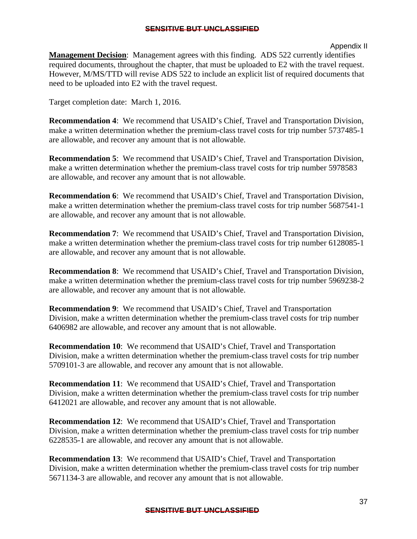#### Appendix II

**Management Decision**: Management agrees with this finding. ADS 522 currently identifies required documents, throughout the chapter, that must be uploaded to E2 with the travel request. However, M/MS/TTD will revise ADS 522 to include an explicit list of required documents that need to be uploaded into E2 with the travel request.

Target completion date: March 1, 2016.

**Recommendation 4**: We recommend that USAID's Chief, Travel and Transportation Division, make a written determination whether the premium-class travel costs for trip number 5737485-1 are allowable, and recover any amount that is not allowable.

**Recommendation 5**: We recommend that USAID's Chief, Travel and Transportation Division, make a written determination whether the premium-class travel costs for trip number 5978583 are allowable, and recover any amount that is not allowable.

**Recommendation 6**: We recommend that USAID's Chief, Travel and Transportation Division, make a written determination whether the premium-class travel costs for trip number 5687541-1 are allowable, and recover any amount that is not allowable.

 **Recommendation 7**: We recommend that USAID's Chief, Travel and Transportation Division, make a written determination whether the premium-class travel costs for trip number 6128085-1 are allowable, and recover any amount that is not allowable.

**Recommendation 8**: We recommend that USAID's Chief, Travel and Transportation Division, make a written determination whether the premium-class travel costs for trip number 5969238-2 are allowable, and recover any amount that is not allowable.

**Recommendation 9**: We recommend that USAID's Chief, Travel and Transportation Division, make a written determination whether the premium-class travel costs for trip number 6406982 are allowable, and recover any amount that is not allowable.

**Recommendation 10**: We recommend that USAID's Chief, Travel and Transportation Division, make a written determination whether the premium-class travel costs for trip number 5709101-3 are allowable, and recover any amount that is not allowable.

**Recommendation 11**: We recommend that USAID's Chief, Travel and Transportation Division, make a written determination whether the premium-class travel costs for trip number 6412021 are allowable, and recover any amount that is not allowable.

**Recommendation 12**: We recommend that USAID's Chief, Travel and Transportation Division, make a written determination whether the premium-class travel costs for trip number 6228535-1 are allowable, and recover any amount that is not allowable.

**Recommendation 13**: We recommend that USAID's Chief, Travel and Transportation Division, make a written determination whether the premium-class travel costs for trip number 5671134-3 are allowable, and recover any amount that is not allowable.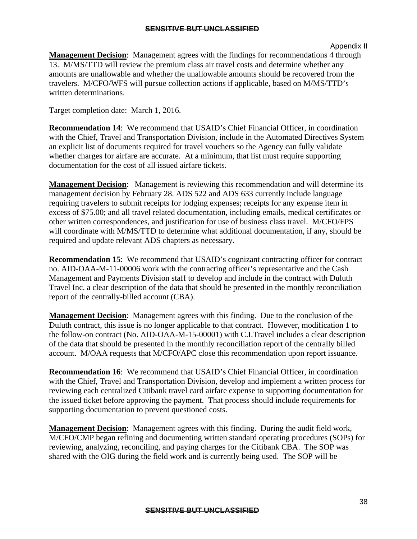**Management Decision**: Management agrees with the findings for recommendations 4 through 13. M/MS/TTD will review the premium class air travel costs and determine whether any amounts are unallowable and whether the unallowable amounts should be recovered from the travelers. M/CFO/WFS will pursue collection actions if applicable, based on M/MS/TTD's written determinations.

Target completion date: March 1, 2016.

**Recommendation 14**: We recommend that USAID's Chief Financial Officer, in coordination with the Chief, Travel and Transportation Division, include in the Automated Directives System an explicit list of documents required for travel vouchers so the Agency can fully validate whether charges for airfare are accurate. At a minimum, that list must require supporting documentation for the cost of all issued airfare tickets.

 **Management Decision**: Management is reviewing this recommendation and will determine its management decision by February 28. ADS 522 and ADS 633 currently include language requiring travelers to submit receipts for lodging expenses; receipts for any expense item in excess of \$75.00; and all travel related documentation, including emails, medical certificates or other written correspondences, and justification for use of business class travel. M/CFO/FPS will coordinate with M/MS/TTD to determine what additional documentation, if any, should be required and update relevant ADS chapters as necessary.

**Recommendation 15**: We recommend that USAID's cognizant contracting officer for contract no. AID-OAA-M-11-00006 work with the contracting officer's representative and the Cash Management and Payments Division staff to develop and include in the contract with Duluth Travel Inc. a clear description of the data that should be presented in the monthly reconciliation report of the centrally-billed account (CBA).

**Management Decision**: Management agrees with this finding. Due to the conclusion of the Duluth contract, this issue is no longer applicable to that contract. However, modification 1 to the follow-on contract (No. AID-OAA-M-15-00001) with C.I.Travel includes a clear description of the data that should be presented in the monthly reconciliation report of the centrally billed account. M/OAA requests that M/CFO/APC close this recommendation upon report issuance.

**Recommendation 16**: We recommend that USAID's Chief Financial Officer, in coordination with the Chief, Travel and Transportation Division, develop and implement a written process for reviewing each centralized Citibank travel card airfare expense to supporting documentation for the issued ticket before approving the payment. That process should include requirements for supporting documentation to prevent questioned costs.

**Management Decision**: Management agrees with this finding. During the audit field work, M/CFO/CMP began refining and documenting written standard operating procedures (SOPs) for reviewing, analyzing, reconciling, and paying charges for the Citibank CBA. The SOP was shared with the OIG during the field work and is currently being used. The SOP will be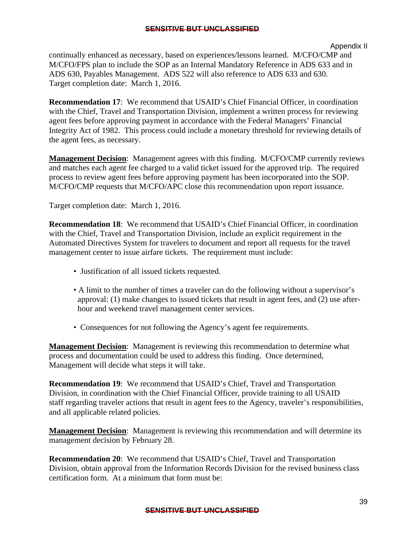#### Appendix II

continually enhanced as necessary, based on experiences/lessons learned. M/CFO/CMP and M/CFO/FPS plan to include the SOP as an Internal Mandatory Reference in ADS 633 and in ADS 630, Payables Management. ADS 522 will also reference to ADS 633 and 630. Target completion date: March 1, 2016.

**Recommendation 17**: We recommend that USAID's Chief Financial Officer, in coordination with the Chief, Travel and Transportation Division, implement a written process for reviewing agent fees before approving payment in accordance with the Federal Managers' Financial Integrity Act of 1982. This process could include a monetary threshold for reviewing details of the agent fees, as necessary.

**Management Decision**: Management agrees with this finding. M/CFO/CMP currently reviews and matches each agent fee charged to a valid ticket issued for the approved trip. The required process to review agent fees before approving payment has been incorporated into the SOP. M/CFO/CMP requests that M/CFO/APC close this recommendation upon report issuance.

Target completion date: March 1, 2016.

**Recommendation 18**: We recommend that USAID's Chief Financial Officer, in coordination with the Chief, Travel and Transportation Division, include an explicit requirement in the Automated Directives System for travelers to document and report all requests for the travel management center to issue airfare tickets. The requirement must include:

- Justification of all issued tickets requested.
- A limit to the number of times a traveler can do the following without a supervisor's approval: (1) make changes to issued tickets that result in agent fees, and (2) use after hour and weekend travel management center services.
- Consequences for not following the Agency's agent fee requirements.

**Management Decision**: Management is reviewing this recommendation to determine what process and documentation could be used to address this finding. Once determined, Management will decide what steps it will take.

**Recommendation 19**: We recommend that USAID's Chief, Travel and Transportation Division, in coordination with the Chief Financial Officer, provide training to all USAID staff regarding traveler actions that result in agent fees to the Agency, traveler's responsibilities, and all applicable related policies.

**Management Decision**: Management is reviewing this recommendation and will determine its management decision by February 28.

**Recommendation 20**: We recommend that USAID's Chief, Travel and Transportation Division, obtain approval from the Information Records Division for the revised business class certification form. At a minimum that form must be: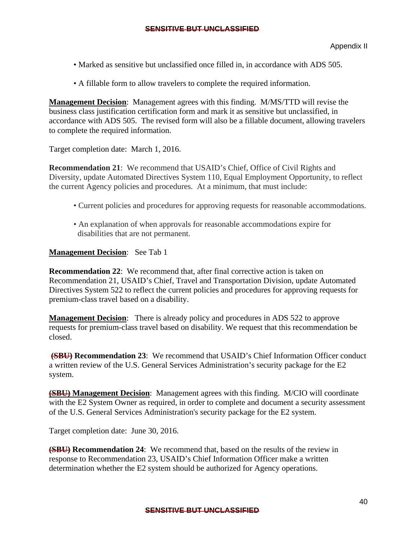- Marked as sensitive but unclassified once filled in, in accordance with ADS 505.
- A fillable form to allow travelers to complete the required information.

**Management Decision**: Management agrees with this finding. M/MS/TTD will revise the business class justification certification form and mark it as sensitive but unclassified, in accordance with ADS 505. The revised form will also be a fillable document, allowing travelers to complete the required information.

Target completion date: March 1, 2016.

**Recommendation 21**: We recommend that USAID's Chief, Office of Civil Rights and Diversity, update Automated Directives System 110, Equal Employment Opportunity, to reflect the current Agency policies and procedures. At a minimum, that must include:

- Current policies and procedures for approving requests for reasonable accommodations.
- An explanation of when approvals for reasonable accommodations expire for disabilities that are not permanent.

#### **Management Decision**: See Tab 1

**Recommendation 22:** We recommend that, after final corrective action is taken on Recommendation 21, USAID's Chief, Travel and Transportation Division, update Automated Directives System 522 to reflect the current policies and procedures for approving requests for premium-class travel based on a disability.

**Management Decision**: There is already policy and procedures in ADS 522 to approve requests for premium-class travel based on disability. We request that this recommendation be closed.

**(SBU) Recommendation 23**: We recommend that USAID's Chief Information Officer conduct a written review of the U.S. General Services Administration's security package for the E2 system.

**(SBU) Management Decision**: Management agrees with this finding. M/CIO will coordinate with the E2 System Owner as required, in order to complete and document a security assessment of the U.S. General Services Administration's security package for the E2 system.

Target completion date: June 30, 2016.

**(SBU) Recommendation 24**: We recommend that, based on the results of the review in response to Recommendation 23, USAID's Chief Information Officer make a written determination whether the E2 system should be authorized for Agency operations.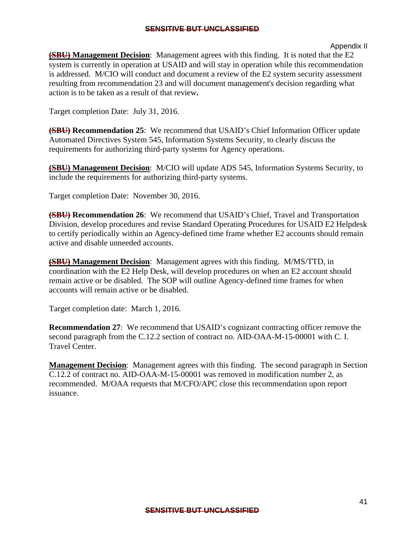#### Appendix II

**(SBU) Management Decision:** Management agrees with this finding. It is noted that the E2 system is currently in operation at USAID and will stay in operation while this recommendation is addressed. M/CIO will conduct and document a review of the E2 system security assessment resulting from recommendation 23 and will document management's decision regarding what action is to be taken as a result of that review**.** 

Target completion Date: July 31, 2016.

**(SBU) Recommendation 25**: We recommend that USAID's Chief Information Officer update Automated Directives System 545, Information Systems Security, to clearly discuss the requirements for authorizing third-party systems for Agency operations.

**(SBU) Management Decision:** M/CIO will update ADS 545, Information Systems Security, to include the requirements for authorizing third-party systems.

Target completion Date: November 30, 2016.

**(SBU) Recommendation 26**: We recommend that USAID's Chief, Travel and Transportation Division, develop procedures and revise Standard Operating Procedures for USAID E2 Helpdesk to certify periodically within an Agency-defined time frame whether E2 accounts should remain active and disable unneeded accounts.

**(SBU) Management Decision**: Management agrees with this finding. M/MS/TTD, in coordination with the E2 Help Desk, will develop procedures on when an E2 account should remain active or be disabled. The SOP will outline Agency-defined time frames for when accounts will remain active or be disabled.

Target completion date: March 1, 2016.

**Recommendation 27:** We recommend that USAID's cognizant contracting officer remove the second paragraph from the C.12.2 section of contract no. AID-OAA-M-15-00001 with C. I. Travel Center.

**Management Decision**: Management agrees with this finding. The second paragraph in Section C.12.2 of contract no. AID-OAA-M-15-00001 was removed in modification number 2, as recommended. M/OAA requests that M/CFO/APC close this recommendation upon report issuance.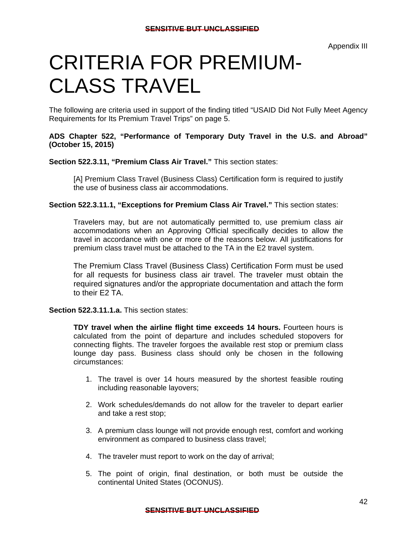## CRITERIA FOR PREMIUM-CLASS TRAVEL

The following are criteria used in support of the finding titled "USAID Did Not Fully Meet Agency Requirements for Its Premium Travel Trips" on page 5.

#### (October 15, 2015) **ADS Chapter 522, "Performance of Temporary Duty Travel in the U.S. and Abroad"**

**Section 522.3.11, "Premium Class Air Travel."** This section states:

[A] Premium Class Travel (Business Class) Certification form is required to justify the use of business class air accommodations.

**Section 522.3.11.1, "Exceptions for Premium Class Air Travel."** This section states:

premium class travel must be attached to the TA in the E2 travel system. Travelers may, but are not automatically permitted to, use premium class air accommodations when an Approving Official specifically decides to allow the travel in accordance with one or more of the reasons below. All justifications for

The Premium Class Travel (Business Class) Certification Form must be used for all requests for business class air travel. The traveler must obtain the required signatures and/or the appropriate documentation and attach the form to their E2 TA.

**Section 522.3.11.1.a.** This section states:

 lounge day pass. Business class should only be chosen in the following **TDY travel when the airline flight time exceeds 14 hours.** Fourteen hours is calculated from the point of departure and includes scheduled stopovers for connecting flights. The traveler forgoes the available rest stop or premium class circumstances:

- 1. The travel is over 14 hours measured by the shortest feasible routing including reasonable layovers;
- 2. Work schedules/demands do not allow for the traveler to depart earlier and take a rest stop;
- 3. A premium class lounge will not provide enough rest, comfort and working environment as compared to business class travel;
- 4. The traveler must report to work on the day of arrival;
- 5. The point of origin, final destination, or both must be outside the continental United States (OCONUS).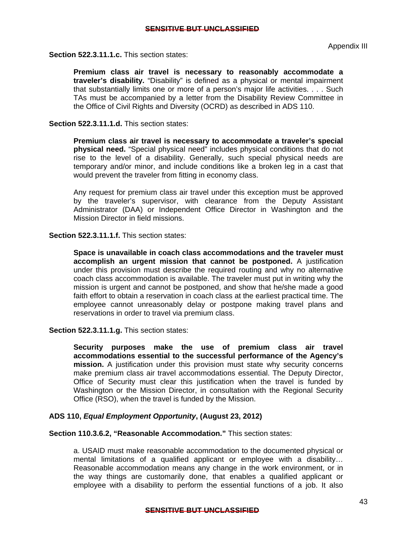**Section 522.3.11.1.c.** This section states:

**Premium class air travel is necessary to reasonably accommodate a traveler's disability.** "Disability" is defined as a physical or mental impairment that substantially limits one or more of a person's major life activities. . . . Such TAs must be accompanied by a letter from the Disability Review Committee in the Office of Civil Rights and Diversity (OCRD) as described in ADS 110.

**Section 522.3.11.1.d.** This section states:

**Premium class air travel is necessary to accommodate a traveler's special physical need.** "Special physical need" includes physical conditions that do not rise to the level of a disability. Generally, such special physical needs are temporary and/or minor, and include conditions like a broken leg in a cast that would prevent the traveler from fitting in economy class.

Any request for premium class air travel under this exception must be approved by the traveler's supervisor, with clearance from the Deputy Assistant Administrator (DAA) or Independent Office Director in Washington and the Mission Director in field missions.

**Section 522.3.11.1.f.** This section states:

**Space is unavailable in coach class accommodations and the traveler must accomplish an urgent mission that cannot be postponed.** A justification under this provision must describe the required routing and why no alternative coach class accommodation is available. The traveler must put in writing why the mission is urgent and cannot be postponed, and show that he/she made a good faith effort to obtain a reservation in coach class at the earliest practical time. The employee cannot unreasonably delay or postpone making travel plans and reservations in order to travel via premium class.

**Section 522.3.11.1.g.** This section states:

**Security purposes make the use of premium class air travel accommodations essential to the successful performance of the Agency's mission.** A justification under this provision must state why security concerns make premium class air travel accommodations essential. The Deputy Director, Office of Security must clear this justification when the travel is funded by Washington or the Mission Director, in consultation with the Regional Security Office (RSO), when the travel is funded by the Mission.

#### **ADS 110,** *Equal Employment Opportunity***, (August 23, 2012)**

**Section 110.3.6.2, "Reasonable Accommodation."** This section states:

a. USAID must make reasonable accommodation to the documented physical or mental limitations of a qualified applicant or employee with a disability… Reasonable accommodation means any change in the work environment, or in the way things are customarily done, that enables a qualified applicant or employee with a disability to perform the essential functions of a job. It also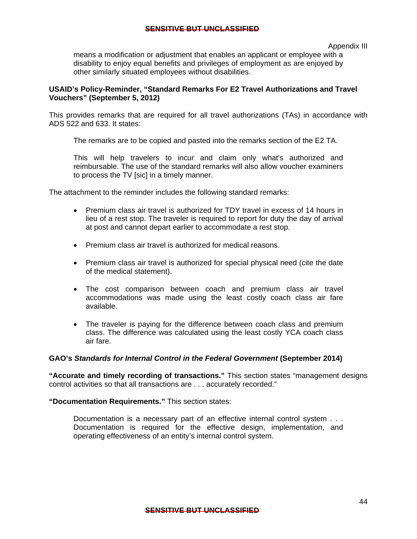Appendix III

means a modification or adjustment that enables an applicant or employee with a disability to enjoy equal benefits and privileges of employment as are enjoyed by other similarly situated employees without disabilities.

#### **Vouchers" (September 5, 2012) USAID's Policy-Reminder, "Standard Remarks For E2 Travel Authorizations and Travel**

This provides remarks that are required for all travel authorizations (TAs) in accordance with ADS 522 and 633. It states:

The remarks are to be copied and pasted into the remarks section of the E2 TA.

This will help travelers to incur and claim only what's authorized and reimbursable. The use of the standard remarks will also allow voucher examiners to process the TV [sic] in a timely manner.

The attachment to the reminder includes the following standard remarks:

- Premium class air travel is authorized for TDY travel in excess of 14 hours in lieu of a rest stop. The traveler is required to report for duty the day of arrival at post and cannot depart earlier to accommodate a rest stop.
- Premium class air travel is authorized for medical reasons.
- Premium class air travel is authorized for special physical need (cite the date of the medical statement).
- The cost comparison between coach and premium class air travel accommodations was made using the least costly coach class air fare available.
- The traveler is paying for the difference between coach class and premium class. The difference was calculated using the least costly YCA coach class air fare.

#### **GAO's** *Standards for Internal Control in the Federal Government* **(September 2014)**

**"Accurate and timely recording of transactions."** This section states "management designs control activities so that all transactions are . . . accurately recorded."

**"Documentation Requirements."** This section states:

 Documentation is a necessary part of an effective internal control system . . . Documentation is required for the effective design, implementation, and operating effectiveness of an entity's internal control system.